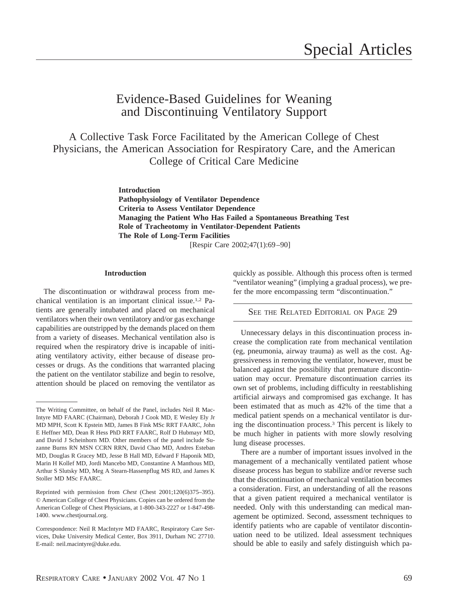# Evidence-Based Guidelines for Weaning and Discontinuing Ventilatory Support

A Collective Task Force Facilitated by the American College of Chest Physicians, the American Association for Respiratory Care, and the American College of Critical Care Medicine

# **Introduction**

**Pathophysiology of Ventilator Dependence Criteria to Assess Ventilator Dependence Managing the Patient Who Has Failed a Spontaneous Breathing Test Role of Tracheotomy in Ventilator-Dependent Patients The Role of Long-Term Facilities**

[Respir Care 2002;47(1):69-90]

## **Introduction**

The discontinuation or withdrawal process from mechanical ventilation is an important clinical issue.1,2 Patients are generally intubated and placed on mechanical ventilators when their own ventilatory and/or gas exchange capabilities are outstripped by the demands placed on them from a variety of diseases. Mechanical ventilation also is required when the respiratory drive is incapable of initiating ventilatory activity, either because of disease processes or drugs. As the conditions that warranted placing the patient on the ventilator stabilize and begin to resolve, attention should be placed on removing the ventilator as quickly as possible. Although this process often is termed "ventilator weaning" (implying a gradual process), we prefer the more encompassing term "discontinuation."

SEE THE RELATED EDITORIAL ON PAGE 29

Unnecessary delays in this discontinuation process increase the complication rate from mechanical ventilation (eg, pneumonia, airway trauma) as well as the cost. Aggressiveness in removing the ventilator, however, must be balanced against the possibility that premature discontinuation may occur. Premature discontinuation carries its own set of problems, including difficulty in reestablishing artificial airways and compromised gas exchange. It has been estimated that as much as 42% of the time that a medical patient spends on a mechanical ventilator is during the discontinuation process.3 This percent is likely to be much higher in patients with more slowly resolving lung disease processes.

There are a number of important issues involved in the management of a mechanically ventilated patient whose disease process has begun to stabilize and/or reverse such that the discontinuation of mechanical ventilation becomes a consideration. First, an understanding of all the reasons that a given patient required a mechanical ventilator is needed. Only with this understanding can medical management be optimized. Second, assessment techniques to identify patients who are capable of ventilator discontinuation need to be utilized. Ideal assessment techniques should be able to easily and safely distinguish which pa-

The Writing Committee, on behalf of the Panel, includes Neil R Mac-Intyre MD FAARC (Chairman), Deborah J Cook MD, E Wesley Ely Jr MD MPH, Scott K Epstein MD, James B Fink MSc RRT FAARC, John E Heffner MD, Dean R Hess PhD RRT FAARC, Rolf D Hubmayr MD, and David J Scheinhorn MD. Other members of the panel include Suzanne Burns RN MSN CCRN RRN, David Chao MD, Andres Esteban MD, Douglas R Gracey MD, Jesse B Hall MD, Edward F Haponik MD, Marin H Kollef MD, Jordi Mancebo MD, Constantine A Manthous MD, Arthur S Slutsky MD, Meg A Stearn-Hassenpflug MS RD, and James K Stoller MD MSc FAARC.

Reprinted with permission from *Chest* (Chest 2001;120(6)375–395). © American College of Chest Physicians. Copies can be ordered from the American College of Chest Physicians, at 1-800-343-2227 or 1-847-498- 1400. www.chestjournal.org.

Correspondence: Neil R MacIntyre MD FAARC, Respiratory Care Services, Duke University Medical Center, Box 3911, Durham NC 27710. E-mail: neil.macintyre@duke.edu.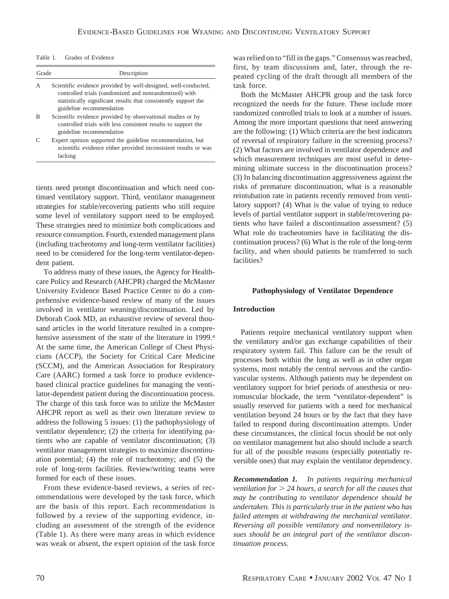Table 1. Grades of Evidence

| Grade | Description                                                                                                                                                                                                            |
|-------|------------------------------------------------------------------------------------------------------------------------------------------------------------------------------------------------------------------------|
| А     | Scientific evidence provided by well-designed, well-conducted,<br>controlled trials (randomized and nonrandomized) with<br>statistically significant results that consistently support the<br>guideline recommendation |
| B     | Scientific evidence provided by observational studies or by<br>controlled trials with less consistent results to support the<br>guideline recommendation                                                               |
|       | Expert opinion supported the guideline recommendation, but<br>scientific evidence either provided inconsistent results or was<br>lacking                                                                               |

tients need prompt discontinuation and which need continued ventilatory support. Third, ventilator management strategies for stable/recovering patients who still require some level of ventilatory support need to be employed. These strategies need to minimize both complications and resource consumption. Fourth, extended management plans (including tracheotomy and long-term ventilator facilities) need to be considered for the long-term ventilator-dependent patient.

To address many of these issues, the Agency for Healthcare Policy and Research (AHCPR) charged the McMaster University Evidence Based Practice Center to do a comprehensive evidence-based review of many of the issues involved in ventilator weaning/discontinuation. Led by Deborah Cook MD, an exhaustive review of several thousand articles in the world literature resulted in a comprehensive assessment of the state of the literature in 1999.<sup>4</sup> At the same time, the American College of Chest Physicians (ACCP), the Society for Critical Care Medicine (SCCM), and the American Association for Respiratory Care (AARC) formed a task force to produce evidencebased clinical practice guidelines for managing the ventilator-dependent patient during the discontinuation process. The charge of this task force was to utilize the McMaster AHCPR report as well as their own literature review to address the following 5 issues: (1) the pathophysiology of ventilator dependence; (2) the criteria for identifying patients who are capable of ventilator discontinuation; (3) ventilator management strategies to maximize discontinuation potential; (4) the role of tracheotomy; and (5) the role of long-term facilities. Review/writing teams were formed for each of these issues.

From these evidence-based reviews, a series of recommendations were developed by the task force, which are the basis of this report. Each recommendation is followed by a review of the supporting evidence, including an assessment of the strength of the evidence (Table 1). As there were many areas in which evidence was weak or absent, the expert opinion of the task force

was relied on to "fill in the gaps." Consensus was reached, first, by team discussions and, later, through the repeated cycling of the draft through all members of the task force.

Both the McMaster AHCPR group and the task force recognized the needs for the future. These include more randomized controlled trials to look at a number of issues. Among the more important questions that need answering are the following: (1) Which criteria are the best indicators of reversal of respiratory failure in the screening process? (2) What factors are involved in ventilator dependence and which measurement techniques are most useful in determining ultimate success in the discontinuation process? (3) In balancing discontinuation aggressiveness against the risks of premature discontinuation, what is a reasonable reintubation rate in patients recently removed from ventilatory support? (4) What is the value of trying to reduce levels of partial ventilator support in stable/recovering patients who have failed a discontinuation assessment? (5) What role do tracheotomies have in facilitating the discontinuation process? (6) What is the role of the long-term facility, and when should patients be transferred to such facilities?

## **Pathophysiology of Ventilator Dependence**

#### **Introduction**

Patients require mechanical ventilatory support when the ventilatory and/or gas exchange capabilities of their respiratory system fail. This failure can be the result of processes both within the lung as well as in other organ systems, most notably the central nervous and the cardiovascular systems. Although patients may be dependent on ventilatory support for brief periods of anesthesia or neuromuscular blockade, the term "ventilator-dependent" is usually reserved for patients with a need for mechanical ventilation beyond 24 hours or by the fact that they have failed to respond during discontinuation attempts. Under these circumstances, the clinical focus should be not only on ventilator management but also should include a search for all of the possible reasons (especially potentially reversible ones) that may explain the ventilator dependency.

*Recommendation 1. In patients requiring mechanical ventilation for 24 hours, a search for all the causes that may be contributing to ventilator dependence should be undertaken. This is particularly true in the patient who has failed attempts at withdrawing the mechanical ventilator. Reversing all possible ventilatory and nonventilatory issues should be an integral part of the ventilator discontinuation process.*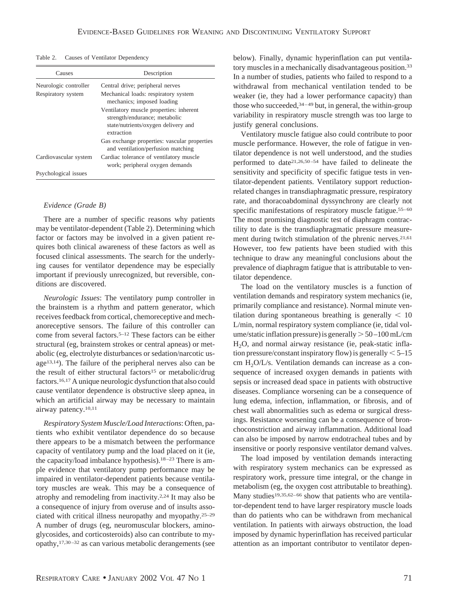| Table 2. |  |  |  | Causes of Ventilator Dependency |
|----------|--|--|--|---------------------------------|
|----------|--|--|--|---------------------------------|

| Causes                | Description                                                                                                                   |  |  |  |  |
|-----------------------|-------------------------------------------------------------------------------------------------------------------------------|--|--|--|--|
| Neurologic controller | Central drive; peripheral nerves                                                                                              |  |  |  |  |
| Respiratory system    | Mechanical loads: respiratory system<br>mechanics; imposed loading                                                            |  |  |  |  |
|                       | Ventilatory muscle properties: inherent<br>strength/endurance; metabolic<br>state/nutrients/oxygen delivery and<br>extraction |  |  |  |  |
|                       | Gas exchange properties: vascular properties<br>and ventilation/perfusion matching                                            |  |  |  |  |
| Cardiovascular system | Cardiac tolerance of ventilatory muscle<br>work; peripheral oxygen demands                                                    |  |  |  |  |
| Psychological issues  |                                                                                                                               |  |  |  |  |

## *Evidence (Grade B)*

There are a number of specific reasons why patients may be ventilator-dependent (Table 2). Determining which factor or factors may be involved in a given patient requires both clinical awareness of these factors as well as focused clinical assessments. The search for the underlying causes for ventilator dependence may be especially important if previously unrecognized, but reversible, conditions are discovered.

*Neurologic Issues*: The ventilatory pump controller in the brainstem is a rhythm and pattern generator, which receives feedback from cortical, chemoreceptive and mechanoreceptive sensors. The failure of this controller can come from several factors.5–12 These factors can be either structural (eg, brainstem strokes or central apneas) or metabolic (eg, electrolyte disturbances or sedation/narcotic us $age<sup>13,14</sup>$ ). The failure of the peripheral nerves also can be the result of either structural factors<sup>15</sup> or metabolic/drug factors.16,17A unique neurologic dysfunction that also could cause ventilator dependence is obstructive sleep apnea, in which an artificial airway may be necessary to maintain airway patency.10,11

*Respiratory System Muscle/Load Interactions*: Often, patients who exhibit ventilator dependence do so because there appears to be a mismatch between the performance capacity of ventilatory pump and the load placed on it (ie, the capacity/load imbalance hypothesis).18–23 There is ample evidence that ventilatory pump performance may be impaired in ventilator-dependent patients because ventilatory muscles are weak. This may be a consequence of atrophy and remodeling from inactivity.2,24 It may also be a consequence of injury from overuse and of insults associated with critical illness neuropathy and myopathy.25–29 A number of drugs (eg, neuromuscular blockers, aminoglycosides, and corticosteroids) also can contribute to myopathy,17,30–32 as can various metabolic derangements (see

below). Finally, dynamic hyperinflation can put ventilatory muscles in a mechanically disadvantageous position.<sup>33</sup> In a number of studies, patients who failed to respond to a withdrawal from mechanical ventilation tended to be weaker (ie, they had a lower performance capacity) than those who succeeded,  $34-49$  but, in general, the within-group variability in respiratory muscle strength was too large to justify general conclusions.

Ventilatory muscle fatigue also could contribute to poor muscle performance. However, the role of fatigue in ventilator dependence is not well understood, and the studies performed to date21,26,50–54 have failed to delineate the sensitivity and specificity of specific fatigue tests in ventilator-dependent patients. Ventilatory support reductionrelated changes in transdiaphragmatic pressure, respiratory rate, and thoracoabdominal dyssynchrony are clearly not specific manifestations of respiratory muscle fatigue.<sup>55–60</sup> The most promising diagnostic test of diaphragm contractility to date is the transdiaphragmatic pressure measurement during twitch stimulation of the phrenic nerves.<sup>21,61</sup> However, too few patients have been studied with this technique to draw any meaningful conclusions about the prevalence of diaphragm fatigue that is attributable to ventilator dependence.

The load on the ventilatory muscles is a function of ventilation demands and respiratory system mechanics (ie, primarily compliance and resistance). Normal minute ventilation during spontaneous breathing is generally  $\leq 10$ L/min, normal respiratory system compliance (ie, tidal volume/static inflation pressure) is generally  $> 50-100$  mL/cm H<sub>2</sub>O, and normal airway resistance (ie, peak-static inflation pressure/constant inspiratory flow) is generally  $\leq 5-15$ cm  $H_2O/L/s$ . Ventilation demands can increase as a consequence of increased oxygen demands in patients with sepsis or increased dead space in patients with obstructive diseases. Compliance worsening can be a consequence of lung edema, infection, inflammation, or fibrosis, and of chest wall abnormalities such as edema or surgical dressings. Resistance worsening can be a consequence of bronchoconstriction and airway inflammation. Additional load can also be imposed by narrow endotracheal tubes and by insensitive or poorly responsive ventilator demand valves.

The load imposed by ventilation demands interacting with respiratory system mechanics can be expressed as respiratory work, pressure time integral, or the change in metabolism (eg, the oxygen cost attributable to breathing). Many studies<sup>19,35,62-66</sup> show that patients who are ventilator-dependent tend to have larger respiratory muscle loads than do patients who can be withdrawn from mechanical ventilation. In patients with airways obstruction, the load imposed by dynamic hyperinflation has received particular attention as an important contributor to ventilator depen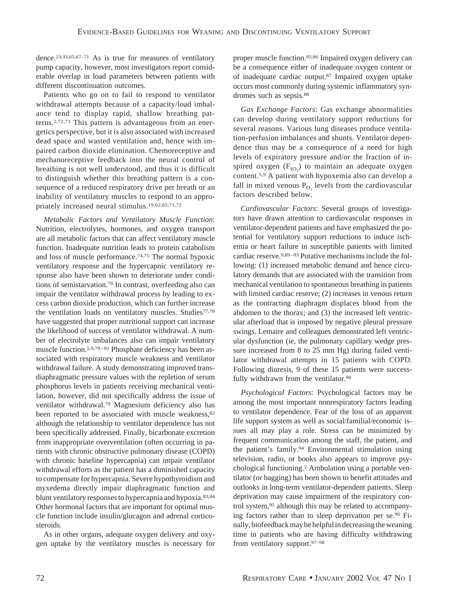dence.23,33,65,67–71 As is true for measures of ventilatory pump capacity, however, most investigators report considerable overlap in load parameters between patients with different discontinuation outcomes.

Patients who go on to fail to respond to ventilator withdrawal attempts because of a capacity/load imbalance tend to display rapid, shallow breathing patterns.2,72,73 This pattern is advantageous from an energetics perspective, but it is also associated with increased dead space and wasted ventilation and, hence with impaired carbon dioxide elimination. Chemoreceptive and mechanoreceptive feedback into the neural control of breathing is not well understood, and thus it is difficult to distinguish whether this breathing pattern is a consequence of a reduced respiratory drive per breath or an inability of ventilatory muscles to respond to an appropriately increased neural stimulus.19,62,65,71,72

*Metabolic Factors and Ventilatory Muscle Function*: Nutrition, electrolytes, hormones, and oxygen transport are all metabolic factors that can affect ventilatory muscle function. Inadequate nutrition leads to protein catabolism and loss of muscle performance.74,75 The normal hypoxic ventilatory response and the hypercapnic ventilatory response also have been shown to deteriorate under conditions of semistarvation.76 In contrast, overfeeding also can impair the ventilator withdrawal process by leading to excess carbon dioxide production, which can further increase the ventilation loads on ventilatory muscles. Studies<sup>77,78</sup> have suggested that proper nutritional support can increase the likelihood of success of ventilator withdrawal. A number of electrolyte imbalances also can impair ventilatory muscle function.5,9,79–81 Phosphate deficiency has been associated with respiratory muscle weakness and ventilator withdrawal failure. A study demonstrating improved transdiaphragmatic pressure values with the repletion of serum phosphorus levels in patients receiving mechanical ventilation, however, did not specifically address the issue of ventilator withdrawal.79 Magnesium deficiency also has been reported to be associated with muscle weakness, <sup>82</sup> although the relationship to ventilator dependence has not been specifically addressed. Finally, bicarbonate excretion from inappropriate overventilation (often occurring in patients with chronic obstructive pulmonary disease (COPD) with chronic baseline hypercapnia) can impair ventilator withdrawal efforts as the patient has a diminished capacity to compensate for hypercapnia. Severe hypothyroidism and myxedema directly impair diaphragmatic function and blunt ventilatory responses to hypercapnia and hypoxia.83,84 Other hormonal factors that are important for optimal muscle function include insulin/glucagon and adrenal corticosteroids.

As in other organs, adequate oxygen delivery and oxygen uptake by the ventilatory muscles is necessary for proper muscle function.85,86 Impaired oxygen delivery can be a consequence either of inadequate oxygen content or of inadequate cardiac output.87 Impaired oxygen uptake occurs most commonly during systemic inflammatory syndromes such as sepsis.<sup>88</sup>

*Gas Exchange Factors*: Gas exchange abnormalities can develop during ventilatory support reductions for several reasons. Various lung diseases produce ventilation-perfusion imbalances and shunts. Ventilator dependence thus may be a consequence of a need for high levels of expiratory pressure and/or the fraction of inspired oxygen  $(F_{IO_2})$  to maintain an adequate oxygen content.5,9 A patient with hypoxemia also can develop a fall in mixed venous  $P_{O_2}$  levels from the cardiovascular factors described below.

*Cardiovascular Factors*: Several groups of investigators have drawn attention to cardiovascular responses in ventilator-dependent patients and have emphasized the potential for ventilatory support reductions to induce ischemia or heart failure in susceptible patients with limited cardiac reserve.9,89–93 Putative mechanisms include the following: (1) increased metabolic demand and hence circulatory demands that are associated with the transition from mechanical ventilation to spontaneous breathing in patients with limited cardiac reserve; (2) increases in venous return as the contracting diaphragm displaces blood from the abdomen to the thorax; and (3) the increased left ventricular afterload that is imposed by negative pleural pressure swings. Lemaire and colleagues demonstrated left ventricular dysfunction (ie, the pulmonary capillary wedge pressure increased from 8 to 25 mm Hg) during failed ventilator withdrawal attempts in 15 patients with COPD. Following diuresis, 9 of these 15 patients were successfully withdrawn from the ventilator.<sup>90</sup>

*Psychological Factors*: Psychological factors may be among the most important nonrespiratory factors leading to ventilator dependence. Fear of the loss of an apparent life support system as well as social/familial/economic issues all may play a role. Stress can be minimized by frequent communication among the staff, the patient, and the patient's family.<sup>94</sup> Environmental stimulation using television, radio, or books also appears to improve psychological functioning.2 Ambulation using a portable ventilator (or bagging) has been shown to benefit attitudes and outlooks in long-term ventilator-dependent patients. Sleep deprivation may cause impairment of the respiratory control system,<sup>95</sup> although this may be related to accompanying factors rather than to sleep deprivation per se.96 Finally, biofeedback may be helpful in decreasing the weaning time in patients who are having difficulty withdrawing from ventilatory support.<sup>97-98</sup>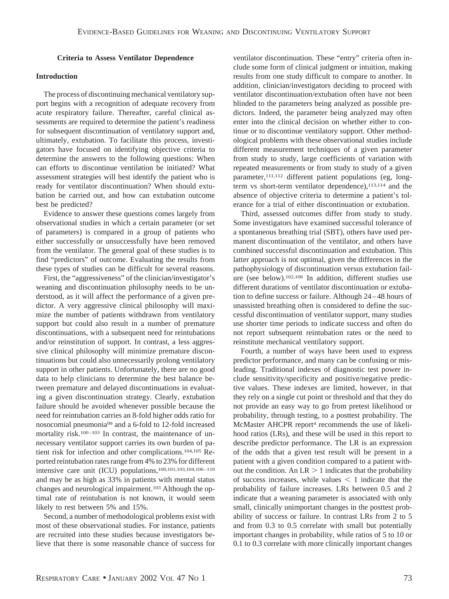### **Criteria to Assess Ventilator Dependence**

### **Introduction**

The process of discontinuing mechanical ventilatory support begins with a recognition of adequate recovery from acute respiratory failure. Thereafter, careful clinical assessments are required to determine the patient's readiness for subsequent discontinuation of ventilatory support and, ultimately, extubation. To facilitate this process, investigators have focused on identifying objective criteria to determine the answers to the following questions: When can efforts to discontinue ventilation be initiated? What assessment strategies will best identify the patient who is ready for ventilator discontinuation? When should extubation be carried out, and how can extubation outcome best be predicted?

Evidence to answer these questions comes largely from observational studies in which a certain parameter (or set of parameters) is compared in a group of patients who either successfully or unsuccessfully have been removed from the ventilator. The general goal of these studies is to find "predictors" of outcome. Evaluating the results from these types of studies can be difficult for several reasons.

First, the "aggressiveness" of the clinician/investigator's weaning and discontinuation philosophy needs to be understood, as it will affect the performance of a given predictor. A very aggressive clinical philosophy will maximize the number of patients withdrawn from ventilatory support but could also result in a number of premature discontinuations, with a subsequent need for reintubations and/or reinstitution of support. In contrast, a less aggressive clinical philosophy will minimize premature discontinuations but could also unnecessarily prolong ventilatory support in other patients. Unfortunately, there are no good data to help clinicians to determine the best balance between premature and delayed discontinuations in evaluating a given discontinuation strategy. Clearly, extubation failure should be avoided whenever possible because the need for reintubation carries an 8-fold higher odds ratio for nosocomial pneumonia99 and a 6-fold to 12-fold increased mortality risk.<sup>100-103</sup> In contrast, the maintenance of unnecessary ventilator support carries its own burden of patient risk for infection and other complications.104,105 Reported reintubation rates range from 4% to 23% for different intensive care unit (ICU) populations,100,101,103,104,106–110 and may be as high as 33% in patients with mental status changes and neurological impairment.103 Although the optimal rate of reintubation is not known, it would seem likely to rest between 5% and 15%.

Second, a number of methodological problems exist with most of these observational studies. For instance, patients are recruited into these studies because investigators believe that there is some reasonable chance of success for ventilator discontinuation. These "entry" criteria often include some form of clinical judgment or intuition, making results from one study difficult to compare to another. In addition, clinician/investigators deciding to proceed with ventilator discontinuation/extubation often have not been blinded to the parameters being analyzed as possible predictors. Indeed, the parameter being analyzed may often enter into the clinical decision on whether either to continue or to discontinue ventilatory support. Other methodological problems with these observational studies include different measurement techniques of a given parameter from study to study, large coefficients of variation with repeated measurements or from study to study of a given parameter,<sup>111,112</sup> different patient populations (eg, longterm vs short-term ventilator dependence),<sup>113,114</sup> and the absence of objective criteria to determine a patient's tolerance for a trial of either discontinuation or extubation.

Third, assessed outcomes differ from study to study. Some investigators have examined successful tolerance of a spontaneous breathing trial (SBT), others have used permanent discontinuation of the ventilator, and others have combined successful discontinuation and extubation. This latter approach is not optimal, given the differences in the pathophysiology of discontinuation versus extubation failure (see below).102,106 In addition, different studies use different durations of ventilator discontinuation or extubation to define success or failure. Although 24–48 hours of unassisted breathing often is considered to define the successful discontinuation of ventilator support, many studies use shorter time periods to indicate success and often do not report subsequent reintubation rates or the need to reinstitute mechanical ventilatory support.

Fourth, a number of ways have been used to express predictor performance, and many can be confusing or misleading. Traditional indexes of diagnostic test power include sensitivity/specificity and positive/negative predictive values. These indexes are limited, however, in that they rely on a single cut point or threshold and that they do not provide an easy way to go from pretest likelihood or probability, through testing, to a posttest probability. The McMaster AHCPR report<sup>4</sup> recommends the use of likelihood ratios (LRs), and these will be used in this report to describe predictor performance. The LR is an expression of the odds that a given test result will be present in a patient with a given condition compared to a patient without the condition. An  $LR > 1$  indicates that the probability of success increases, while values  $\leq 1$  indicate that the probability of failure increases. LRs between 0.5 and 2 indicate that a weaning parameter is associated with only small, clinically unimportant changes in the posttest probability of success or failure. In contrast LRs from 2 to 5 and from 0.3 to 0.5 correlate with small but potentially important changes in probability, while ratios of 5 to 10 or 0.1 to 0.3 correlate with more clinically important changes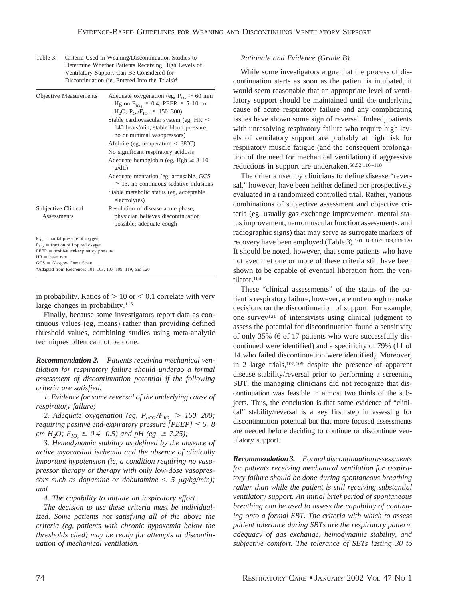| Table 3. | Criteria Used in Weaning/Discontinuation Studies to |
|----------|-----------------------------------------------------|
|          | Determine Whether Patients Receiving High Levels of |
|          | Ventilatory Support Can Be Considered for           |
|          | Discontinuation (ie, Entered Into the Trials)*      |

| <b>Objective Measurements</b>                                                                                                                                                                                                                 | Adequate oxygenation (eg, $P_{O_2} \geq 60$ mm<br>Hg on $F_{IO_2} \leq 0.4$ ; PEEP $\leq 5{\text -}10$ cm<br>$H_2O$ ; $P_O$ , $F_{IO} \ge 150-300$ )<br>Stable cardiovascular system (eg, $HR \leq$<br>140 beats/min; stable blood pressure;<br>no or minimal vasopressors)<br>Afebrile (eg, temperature $<$ 38°C)<br>No significant respiratory acidosis<br>Adequate hemoglobin (eg, Hgb $\geq 8-10$<br>$g/dL$ )<br>Adequate mentation (eg, arousable, GCS<br>$\geq$ 13, no continuous sedative infusions<br>Stable metabolic status (eg, acceptable<br>electrolytes) |
|-----------------------------------------------------------------------------------------------------------------------------------------------------------------------------------------------------------------------------------------------|------------------------------------------------------------------------------------------------------------------------------------------------------------------------------------------------------------------------------------------------------------------------------------------------------------------------------------------------------------------------------------------------------------------------------------------------------------------------------------------------------------------------------------------------------------------------|
| Subjective Clinical<br>Assessments                                                                                                                                                                                                            | Resolution of disease acute phase;<br>physician believes discontinuation<br>possible; adequate cough                                                                                                                                                                                                                                                                                                                                                                                                                                                                   |
| $P_{O_2}$ = partial pressure of oxygen<br>$F_{IO_2}$ = fraction of inspired oxygen<br>$PEEP = positive end-expiratory pressure$<br>$HR = heart$ rate<br>$GCS = Glasgow$ Coma Scale<br>*Adapted from References 101-103, 107-109, 119, and 120 |                                                                                                                                                                                                                                                                                                                                                                                                                                                                                                                                                                        |

in probability. Ratios of  $> 10$  or  $< 0.1$  correlate with very large changes in probability.<sup>115</sup>

Finally, because some investigators report data as continuous values (eg, means) rather than providing defined threshold values, combining studies using meta-analytic techniques often cannot be done.

*Recommendation 2. Patients receiving mechanical ventilation for respiratory failure should undergo a formal assessment of discontinuation potential if the following criteria are satisfied:*

*1. Evidence for some reversal of the underlying cause of respiratory failure;*

*2. Adequate oxygenation (eg,*  $P_{aO2}/F_{IO2} > 150-200$ *; requiring positive end-expiratory pressure [PEEP] 5–8 cm*  $H_2O$ ;  $F_{IO_2} \leq 0.4-0.5$ ) and pH (eg,  $\geq 7.25$ );

*3. Hemodynamic stability as defined by the absence of active myocardial ischemia and the absence of clinically important hypotension (ie, a condition requiring no vasopressor therapy or therapy with only low-dose vasopres*sors such as dopamine or dobutamine  $\lt$  5  $\mu$ g/kg/min); *and*

*4. The capability to initiate an inspiratory effort.*

*The decision to use these criteria must be individualized. Some patients not satisfying all of the above the criteria (eg, patients with chronic hypoxemia below the thresholds cited) may be ready for attempts at discontinuation of mechanical ventilation.*

## *Rationale and Evidence (Grade B)*

While some investigators argue that the process of discontinuation starts as soon as the patient is intubated, it would seem reasonable that an appropriate level of ventilatory support should be maintained until the underlying cause of acute respiratory failure and any complicating issues have shown some sign of reversal. Indeed, patients with unresolving respiratory failure who require high levels of ventilatory support are probably at high risk for respiratory muscle fatigue (and the consequent prolongation of the need for mechanical ventilation) if aggressive reductions in support are undertaken.50,52,116–118

The criteria used by clinicians to define disease "reversal," however, have been neither defined nor prospectively evaluated in a randomized controlled trial. Rather, various combinations of subjective assessment and objective criteria (eg, usually gas exchange improvement, mental status improvement, neuromuscular function assessments, and radiographic signs) that may serve as surrogate markers of recovery have been employed (Table 3).101–103,107–109,119,120 It should be noted, however, that some patients who have not ever met one or more of these criteria still have been shown to be capable of eventual liberation from the ventilator.104

These "clinical assessments" of the status of the patient's respiratory failure, however, are not enough to make decisions on the discontinuation of support. For example, one survey121 of intensivists using clinical judgment to assess the potential for discontinuation found a sensitivity of only 35% (6 of 17 patients who were successfully discontinued were identified) and a specificity of 79% (11 of 14 who failed discontinuation were identified). Moreover, in 2 large trials,107,109 despite the presence of apparent disease stability/reversal prior to performing a screening SBT, the managing clinicians did not recognize that discontinuation was feasible in almost two thirds of the subjects. Thus, the conclusion is that some evidence of "clinical" stability/reversal is a key first step in assessing for discontinuation potential but that more focused assessments are needed before deciding to continue or discontinue ventilatory support.

*Recommendation 3. Formal discontinuation assessments for patients receiving mechanical ventilation for respiratory failure should be done during spontaneous breathing rather than while the patient is still receiving substantial ventilatory support. An initial brief period of spontaneous breathing can be used to assess the capability of continuing onto a formal SBT. The criteria with which to assess patient tolerance during SBTs are the respiratory pattern, adequacy of gas exchange, hemodynamic stability, and subjective comfort. The tolerance of SBTs lasting 30 to*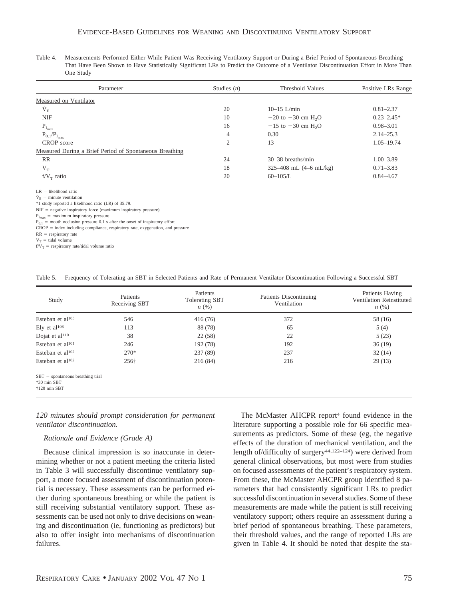## EVIDENCE-BASED GUIDELINES FOR WEANING AND DISCONTINUING VENTILATORY SUPPORT

Table 4. Measurements Performed Either While Patient Was Receiving Ventilatory Support or During a Brief Period of Spontaneous Breathing That Have Been Shown to Have Statistically Significant LRs to Predict the Outcome of a Ventilator Discontinuation Effort in More Than One Study

| Parameter                                                                                                                        | Studies $(n)$  | Threshold Values                   | Positive LRs Range |  |
|----------------------------------------------------------------------------------------------------------------------------------|----------------|------------------------------------|--------------------|--|
| Measured on Ventilator                                                                                                           |                |                                    |                    |  |
| $\dot{V}_{\rm E}$                                                                                                                | 20             | $10-15$ L/min                      | $0.81 - 2.37$      |  |
| <b>NIF</b>                                                                                                                       | 10             | $-20$ to $-30$ cm H <sub>2</sub> O | $0.23 - 2.45*$     |  |
| $\mathbf{P}_{\mathrm{I}_{\mathrm{max}}}$                                                                                         | 16             | $-15$ to $-30$ cm H <sub>2</sub> O | $0.98 - 3.01$      |  |
| $P_{0.1}/P_{I_{max}}$                                                                                                            | 4              | 0.30                               | $2.14 - 25.3$      |  |
| CROP score                                                                                                                       | $\mathfrak{2}$ | 13                                 | $1.05 - 19.74$     |  |
| Measured During a Brief Period of Spontaneous Breathing                                                                          |                |                                    |                    |  |
| RR                                                                                                                               | 24             | 30–38 breaths/min                  | $1.00 - 3.89$      |  |
| $V_T$                                                                                                                            | 18             | 325-408 mL $(4-6$ mL/kg)           | $0.71 - 3.83$      |  |
| $f/V_T$ ratio                                                                                                                    | 20             | $60 - 105/L$                       | $0.84 - 4.67$      |  |
| $LR = likelihood ratio$                                                                                                          |                |                                    |                    |  |
| $\dot{V}_F$ = minute ventilation                                                                                                 |                |                                    |                    |  |
| *1 study reported a likelihood ratio (LR) of 35.79.                                                                              |                |                                    |                    |  |
| $NIF$ = negative inspiratory force (maximum inspiratory pressure)                                                                |                |                                    |                    |  |
| $P_{I_{max}}$ = maximum inspiratory pressure<br>$P_{0,1}$ = mouth occlusion pressure 0.1 s after the onset of inspiratory effort |                |                                    |                    |  |
| $CROP$ = index including compliance, respiratory rate, oxygenation, and pressure                                                 |                |                                    |                    |  |
| $RR$ = respiratory rate                                                                                                          |                |                                    |                    |  |
| $V_T$ = tidal volume                                                                                                             |                |                                    |                    |  |
| $f/V_T$ = respiratory rate/tidal volume ratio                                                                                    |                |                                    |                    |  |
|                                                                                                                                  |                |                                    |                    |  |

Table 5. Frequency of Tolerating an SBT in Selected Patients and Rate of Permanent Ventilator Discontinuation Following a Successful SBT

| Study                                                | Patients<br>Receiving SBT | Patients<br>Tolerating SBT<br>n(%) | Patients Discontinuing<br>Ventilation | Patients Having<br><b>Ventilation Reinstituted</b><br>n(%) |  |
|------------------------------------------------------|---------------------------|------------------------------------|---------------------------------------|------------------------------------------------------------|--|
| Esteban et al $105$                                  | 546                       | 416 (76)                           | 372                                   | 58 (16)                                                    |  |
| Ely et al $108$                                      | 113                       | 88 (78)                            | 65                                    | 5(4)                                                       |  |
| Dojat et al <sup>110</sup>                           | 38                        | 22(58)                             | 22                                    | 5(23)                                                      |  |
| Esteban et al <sup>101</sup>                         | 246                       | 192 (78)                           | 192                                   | 36(19)                                                     |  |
| Esteban et al $102$                                  | $270*$                    | 237 (89)                           | 237                                   | 32(14)                                                     |  |
| Esteban et al <sup>102</sup>                         | 256†                      | 216 (84)                           | 216                                   | 29(13)                                                     |  |
| $SBT =$ spontaneous breathing trial<br>$*30$ min SBT |                           |                                    |                                       |                                                            |  |
| †120 min SBT                                         |                           |                                    |                                       |                                                            |  |

*120 minutes should prompt consideration for permanent ventilator discontinuation.*

## *Rationale and Evidence (Grade A)*

Because clinical impression is so inaccurate in determining whether or not a patient meeting the criteria listed in Table 3 will successfully discontinue ventilatory support, a more focused assessment of discontinuation potential is necessary. These assessments can be performed either during spontaneous breathing or while the patient is still receiving substantial ventilatory support. These assessments can be used not only to drive decisions on weaning and discontinuation (ie, functioning as predictors) but also to offer insight into mechanisms of discontinuation failures.

The McMaster AHCPR report<sup>4</sup> found evidence in the literature supporting a possible role for 66 specific measurements as predictors. Some of these (eg, the negative effects of the duration of mechanical ventilation, and the length of/difficulty of surgery<sup>44,122–124</sup>) were derived from general clinical observations, but most were from studies on focused assessments of the patient's respiratory system. From these, the McMaster AHCPR group identified 8 parameters that had consistently significant LRs to predict successful discontinuation in several studies. Some of these measurements are made while the patient is still receiving ventilatory support; others require an assessment during a brief period of spontaneous breathing. These parameters, their threshold values, and the range of reported LRs are given in Table 4. It should be noted that despite the sta-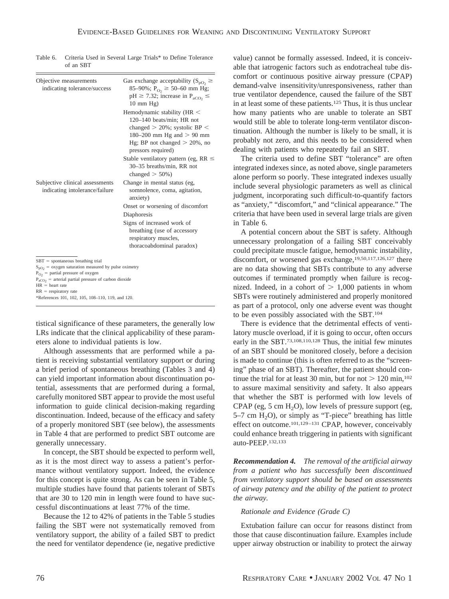| Objective measurements<br>indicating tolerance/success            | Gas exchange acceptability ( $S_{pQ_2} \ge$<br>85–90%; $P_{O_2} \ge 50$ –60 mm Hg;<br>$pH \ge 7.32$ ; increase in $P_{aCO_2} \le$<br>$10 \text{ mm Hg}$                                  |  |  |  |
|-------------------------------------------------------------------|------------------------------------------------------------------------------------------------------------------------------------------------------------------------------------------|--|--|--|
|                                                                   | Hemodynamic stability ( $HR <$<br>120–140 beats/min; HR not<br>changed $>$ 20%; systolic BP $<$<br>180–200 mm Hg and $> 90$ mm<br>Hg; BP not changed $> 20\%$ , no<br>pressors required) |  |  |  |
|                                                                   | Stable ventilatory pattern (eg, $RR \leq$<br>30–35 breaths/min, RR not<br>changed $>$ 50%)                                                                                               |  |  |  |
| Subjective clinical assessments<br>indicating intolerance/failure | Change in mental status (eg,<br>somnolence, coma, agitation,<br>anxiety)                                                                                                                 |  |  |  |
|                                                                   | Onset or worsening of discomfort                                                                                                                                                         |  |  |  |
|                                                                   | Diaphoresis                                                                                                                                                                              |  |  |  |
|                                                                   | Signs of increased work of                                                                                                                                                               |  |  |  |
|                                                                   | breathing (use of accessory                                                                                                                                                              |  |  |  |
|                                                                   | respiratory muscles,                                                                                                                                                                     |  |  |  |
|                                                                   | thoracoabdominal paradox)                                                                                                                                                                |  |  |  |
| $SBT =$ spontaneous breathing trial                               |                                                                                                                                                                                          |  |  |  |
| $S_{pO2}$ = oxygen saturation measured by pulse oximetry          |                                                                                                                                                                                          |  |  |  |
| $P_O$ <sub>2</sub> = partial pressure of oxygen                   |                                                                                                                                                                                          |  |  |  |
| $P_{aCO_2}$ = arterial partial pressure of carbon dioxide         |                                                                                                                                                                                          |  |  |  |
| $HR = heart$ rate<br>$RR$ = respiratory rate                      |                                                                                                                                                                                          |  |  |  |
| *References 101, 102, 105, 108-110, 119, and 120.                 |                                                                                                                                                                                          |  |  |  |

Table 6. Criteria Used in Several Large Trials\* to Define Tolerance of an SBT

tistical significance of these parameters, the generally low LRs indicate that the clinical applicability of these parameters alone to individual patients is low.

Although assessments that are performed while a patient is receiving substantial ventilatory support or during a brief period of spontaneous breathing (Tables 3 and 4) can yield important information about discontinuation potential, assessments that are performed during a formal, carefully monitored SBT appear to provide the most useful information to guide clinical decision-making regarding discontinuation. Indeed, because of the efficacy and safety of a properly monitored SBT (see below), the assessments in Table 4 that are performed to predict SBT outcome are generally unnecessary.

In concept, the SBT should be expected to perform well, as it is the most direct way to assess a patient's performance without ventilatory support. Indeed, the evidence for this concept is quite strong. As can be seen in Table 5, multiple studies have found that patients tolerant of SBTs that are 30 to 120 min in length were found to have successful discontinuations at least 77% of the time.

Because the 12 to 42% of patients in the Table 5 studies failing the SBT were not systematically removed from ventilatory support, the ability of a failed SBT to predict the need for ventilator dependence (ie, negative predictive

value) cannot be formally assessed. Indeed, it is conceivable that iatrogenic factors such as endotracheal tube discomfort or continuous positive airway pressure (CPAP) demand-valve insensitivity/unresponsiveness, rather than true ventilator dependence, caused the failure of the SBT in at least some of these patients.125 Thus, it is thus unclear how many patients who are unable to tolerate an SBT would still be able to tolerate long-term ventilator discontinuation. Although the number is likely to be small, it is probably not zero, and this needs to be considered when dealing with patients who repeatedly fail an SBT.

The criteria used to define SBT "tolerance" are often integrated indexes since, as noted above, single parameters alone perform so poorly. These integrated indexes usually include several physiologic parameters as well as clinical judgment, incorporating such difficult-to-quantify factors as "anxiety," "discomfort," and "clinical appearance." The criteria that have been used in several large trials are given in Table 6.

A potential concern about the SBT is safety. Although unnecessary prolongation of a failing SBT conceivably could precipitate muscle fatigue, hemodynamic instability, discomfort, or worsened gas exchange,<sup>19,50,117,126,127</sup> there are no data showing that SBTs contribute to any adverse outcomes if terminated promptly when failure is recognized. Indeed, in a cohort of  $> 1,000$  patients in whom SBTs were routinely administered and properly monitored as part of a protocol, only one adverse event was thought to be even possibly associated with the SBT.104

There is evidence that the detrimental effects of ventilatory muscle overload, if it is going to occur, often occurs early in the SBT.73,108,110,128 Thus, the initial few minutes of an SBT should be monitored closely, before a decision is made to continue (this is often referred to as the "screening" phase of an SBT). Thereafter, the patient should continue the trial for at least 30 min, but for not  $> 120$  min,<sup>102</sup> to assure maximal sensitivity and safety. It also appears that whether the SBT is performed with low levels of CPAP (eg, 5 cm  $H_2O$ ), low levels of pressure support (eg, 5–7 cm  $H_2O$ ), or simply as "T-piece" breathing has little effect on outcome.101,129–131 CPAP, however, conceivably could enhance breath triggering in patients with significant auto-PEEP.132,133

*Recommendation 4. The removal of the artificial airway from a patient who has successfully been discontinued from ventilatory support should be based on assessments of airway patency and the ability of the patient to protect the airway.*

#### *Rationale and Evidence (Grade C)*

Extubation failure can occur for reasons distinct from those that cause discontinuation failure. Examples include upper airway obstruction or inability to protect the airway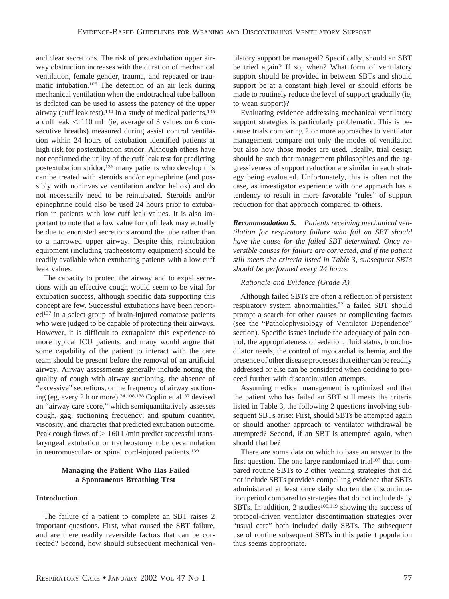and clear secretions. The risk of postextubation upper airway obstruction increases with the duration of mechanical ventilation, female gender, trauma, and repeated or traumatic intubation.106 The detection of an air leak during mechanical ventilation when the endotracheal tube balloon is deflated can be used to assess the patency of the upper airway (cuff leak test).134 In a study of medical patients,135 a cuff leak  $\leq 110$  mL (ie, average of 3 values on 6 consecutive breaths) measured during assist control ventilation within 24 hours of extubation identified patients at high risk for postextubation stridor. Although others have not confirmed the utility of the cuff leak test for predicting postextubation stridor,136 many patients who develop this can be treated with steroids and/or epinephrine (and possibly with noninvasive ventilation and/or heliox) and do not necessarily need to be reintubated. Steroids and/or epinephrine could also be used 24 hours prior to extubation in patients with low cuff leak values. It is also important to note that a low value for cuff leak may actually be due to encrusted secretions around the tube rather than to a narrowed upper airway. Despite this, reintubation equipment (including tracheostomy equipment) should be readily available when extubating patients with a low cuff leak values.

The capacity to protect the airway and to expel secretions with an effective cough would seem to be vital for extubation success, although specific data supporting this concept are few. Successful extubations have been reported<sup>137</sup> in a select group of brain-injured comatose patients who were judged to be capable of protecting their airways. However, it is difficult to extrapolate this experience to more typical ICU patients, and many would argue that some capability of the patient to interact with the care team should be present before the removal of an artificial airway. Airway assessments generally include noting the quality of cough with airway suctioning, the absence of "excessive" secretions, or the frequency of airway suctioning (eg, every 2 h or more).34,108,138 Coplin et al137 devised an "airway care score," which semiquantitatively assesses cough, gag, suctioning frequency, and sputum quantity, viscosity, and character that predicted extubation outcome. Peak cough flows of  $> 160$  L/min predict successful translaryngeal extubation or tracheostomy tube decannulation in neuromuscular- or spinal cord-injured patients.139

## **Managing the Patient Who Has Failed a Spontaneous Breathing Test**

# **Introduction**

The failure of a patient to complete an SBT raises 2 important questions. First, what caused the SBT failure, and are there readily reversible factors that can be corrected? Second, how should subsequent mechanical ventilatory support be managed? Specifically, should an SBT be tried again? If so, when? What form of ventilatory support should be provided in between SBTs and should support be at a constant high level or should efforts be made to routinely reduce the level of support gradually (ie, to wean support)?

Evaluating evidence addressing mechanical ventilatory support strategies is particularly problematic. This is because trials comparing 2 or more approaches to ventilator management compare not only the modes of ventilation but also how those modes are used. Ideally, trial design should be such that management philosophies and the aggressiveness of support reduction are similar in each strategy being evaluated. Unfortunately, this is often not the case, as investigator experience with one approach has a tendency to result in more favorable "rules" of support reduction for that approach compared to others.

*Recommendation 5. Patients receiving mechanical ventilation for respiratory failure who fail an SBT should have the cause for the failed SBT determined. Once reversible causes for failure are corrected, and if the patient still meets the criteria listed in Table 3, subsequent SBTs should be performed every 24 hours.*

#### *Rationale and Evidence (Grade A)*

Although failed SBTs are often a reflection of persistent respiratory system abnormalities,<sup>52</sup> a failed SBT should prompt a search for other causes or complicating factors (see the "Patholophysiology of Ventilator Dependence" section). Specific issues include the adequacy of pain control, the appropriateness of sedation, fluid status, bronchodilator needs, the control of myocardial ischemia, and the presence of other disease processes that either can be readily addressed or else can be considered when deciding to proceed further with discontinuation attempts.

Assuming medical management is optimized and that the patient who has failed an SBT still meets the criteria listed in Table 3, the following 2 questions involving subsequent SBTs arise: First, should SBTs be attempted again or should another approach to ventilator withdrawal be attempted? Second, if an SBT is attempted again, when should that be?

There are some data on which to base an answer to the first question. The one large randomized trial<sup>107</sup> that compared routine SBTs to 2 other weaning strategies that did not include SBTs provides compelling evidence that SBTs administered at least once daily shorten the discontinuation period compared to strategies that do not include daily SBTs. In addition, 2 studies<sup>108,119</sup> showing the success of protocol-driven ventilator discontinuation strategies over "usual care" both included daily SBTs. The subsequent use of routine subsequent SBTs in this patient population thus seems appropriate.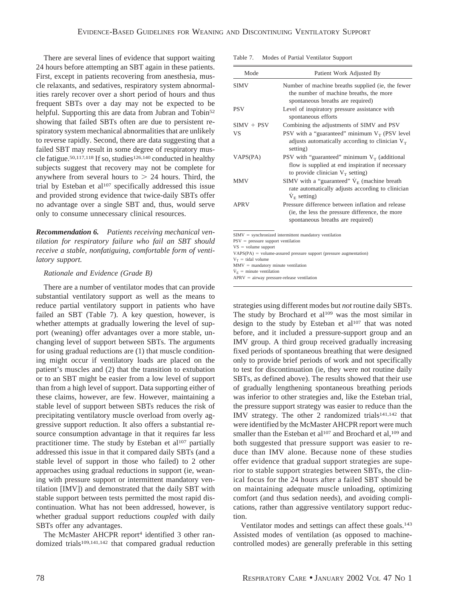There are several lines of evidence that support waiting 24 hours before attempting an SBT again in these patients. First, except in patients recovering from anesthesia, muscle relaxants, and sedatives, respiratory system abnormalities rarely recover over a short period of hours and thus frequent SBTs over a day may not be expected to be helpful. Supporting this are data from Jubran and Tobin<sup>52</sup> showing that failed SBTs often are due to persistent respiratory system mechanical abnormalities that are unlikely to reverse rapidly. Second, there are data suggesting that a failed SBT may result in some degree of respiratory muscle fatigue.<sup>50,117,118</sup> If so, studies<sup>126,140</sup> conducted in healthy subjects suggest that recovery may not be complete for anywhere from several hours to  $> 24$  hours. Third, the trial by Esteban et al<sup>107</sup> specifically addressed this issue and provided strong evidence that twice-daily SBTs offer no advantage over a single SBT and, thus, would serve only to consume unnecessary clinical resources.

*Recommendation 6. Patients receiving mechanical ventilation for respiratory failure who fail an SBT should receive a stable, nonfatiguing, comfortable form of ventilatory support.*

## *Rationale and Evidence (Grade B)*

There are a number of ventilator modes that can provide substantial ventilatory support as well as the means to reduce partial ventilatory support in patients who have failed an SBT (Table 7). A key question, however, is whether attempts at gradually lowering the level of support (weaning) offer advantages over a more stable, unchanging level of support between SBTs. The arguments for using gradual reductions are (1) that muscle conditioning might occur if ventilatory loads are placed on the patient's muscles and (2) that the transition to extubation or to an SBT might be easier from a low level of support than from a high level of support. Data supporting either of these claims, however, are few. However, maintaining a stable level of support between SBTs reduces the risk of precipitating ventilatory muscle overload from overly aggressive support reduction. It also offers a substantial resource consumption advantage in that it requires far less practitioner time. The study by Esteban et al<sup>107</sup> partially addressed this issue in that it compared daily SBTs (and a stable level of support in those who failed) to 2 other approaches using gradual reductions in support (ie, weaning with pressure support or intermittent mandatory ventilation [IMV]) and demonstrated that the daily SBT with stable support between tests permitted the most rapid discontinuation. What has not been addressed, however, is whether gradual support reductions *coupled* with daily SBTs offer any advantages.

The McMaster AHCPR report<sup>4</sup> identified 3 other randomized trials<sup>109,141,142</sup> that compared gradual reduction Table 7. Modes of Partial Ventilator Support

| Mode         | Patient Work Adjusted By                                                                                                                   |
|--------------|--------------------------------------------------------------------------------------------------------------------------------------------|
| <b>SIMV</b>  | Number of machine breaths supplied (ie, the fewer<br>the number of machine breaths, the more<br>spontaneous breaths are required)          |
| <b>PSV</b>   | Level of inspiratory pressure assistance with<br>spontaneous efforts                                                                       |
| $SIMV + PSV$ | Combining the adjustments of SIMV and PSV                                                                                                  |
| <b>VS</b>    | PSV with a "guaranteed" minimum $V_T$ (PSV level<br>adjusts automatically according to clinician $V_T$<br>setting)                         |
| VAPS(PA)     | PSV with "guaranteed" minimum $V_T$ (additional<br>flow is supplied at end inspiration if necessary<br>to provide clinician $V_T$ setting) |
| <b>MMV</b>   | SIMV with a "guaranteed" $V_F$ (machine breath<br>rate automatically adjusts according to clinician<br>$VE$ setting)                       |
| APRV         | Pressure difference between inflation and release<br>(ie, the less the pressure difference, the more<br>spontaneous breaths are required)  |

 $SIMV = synchronized intermittent mandatory ven$ 

 $PSV = pressure support ventilation$  $VS =$  volume support

VAPS(PA) = volume-assured pressure support (pressure augmentation)

 $V_T$  = tidal volume

 $MMV =$  mandatory minute ventilation

 $\dot{V}_{\rm E}$  = minute ventilation

 $APRV = airway pressure-release ventilation$ 

strategies using different modes but *not* routine daily SBTs. The study by Brochard et al<sup>109</sup> was the most similar in design to the study by Esteban et  $al^{107}$  that was noted before, and it included a pressure-support group and an IMV group. A third group received gradually increasing fixed periods of spontaneous breathing that were designed only to provide brief periods of work and not specifically to test for discontinuation (ie, they were not routine daily SBTs, as defined above). The results showed that their use of gradually lengthening spontaneous breathing periods was inferior to other strategies and, like the Esteban trial, the pressure support strategy was easier to reduce than the IMV strategy. The other 2 randomized trials<sup>141,142</sup> that were identified by the McMaster AHCPR report were much smaller than the Esteban et al<sup>107</sup> and Brochard et al,<sup>109</sup> and both suggested that pressure support was easier to reduce than IMV alone. Because none of these studies offer evidence that gradual support strategies are superior to stable support strategies between SBTs, the clinical focus for the 24 hours after a failed SBT should be on maintaining adequate muscle unloading, optimizing comfort (and thus sedation needs), and avoiding complications, rather than aggressive ventilatory support reduction.

Ventilator modes and settings can affect these goals.143 Assisted modes of ventilation (as opposed to machinecontrolled modes) are generally preferable in this setting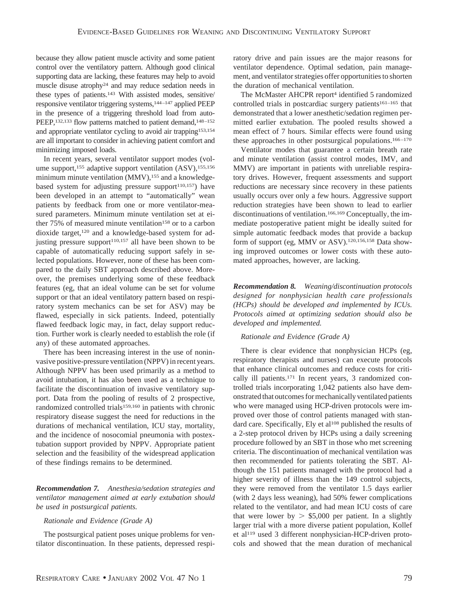because they allow patient muscle activity and some patient control over the ventilatory pattern. Although good clinical supporting data are lacking, these features may help to avoid muscle disuse atrophy24 and may reduce sedation needs in these types of patients.143 With assisted modes, sensitive/ responsive ventilator triggering systems,144–147 applied PEEP in the presence of a triggering threshold load from auto-PEEP,<sup>132,133</sup> flow patterns matched to patient demand,<sup>148–152</sup> and appropriate ventilator cycling to avoid air trapping153,154 are all important to consider in achieving patient comfort and minimizing imposed loads.

In recent years, several ventilator support modes (volume support,<sup>155</sup> adaptive support ventilation  $(ASV)$ ,<sup>155,156</sup> minimum minute ventilation (MMV),<sup>155</sup> and a knowledgebased system for adjusting pressure support $110,157$ ) have been developed in an attempt to "automatically" wean patients by feedback from one or more ventilator-measured parameters. Minimum minute ventilation set at either  $75\%$  of measured minute ventilation<sup>158</sup> or to a carbon dioxide target,120 and a knowledge-based system for adjusting pressure support<sup>110,157</sup> all have been shown to be capable of automatically reducing support safely in selected populations. However, none of these has been compared to the daily SBT approach described above. Moreover, the premises underlying some of these feedback features (eg, that an ideal volume can be set for volume support or that an ideal ventilatory pattern based on respiratory system mechanics can be set for ASV) may be flawed, especially in sick patients. Indeed, potentially flawed feedback logic may, in fact, delay support reduction. Further work is clearly needed to establish the role (if any) of these automated approaches.

There has been increasing interest in the use of noninvasive positive-pressure ventilation (NPPV) in recent years. Although NPPV has been used primarily as a method to avoid intubation, it has also been used as a technique to facilitate the discontinuation of invasive ventilatory support. Data from the pooling of results of 2 prospective, randomized controlled trials159,160 in patients with chronic respiratory disease suggest the need for reductions in the durations of mechanical ventilation, ICU stay, mortality, and the incidence of nosocomial pneumonia with postextubation support provided by NPPV. Appropriate patient selection and the feasibility of the widespread application of these findings remains to be determined.

*Recommendation 7. Anesthesia/sedation strategies and ventilator management aimed at early extubation should be used in postsurgical patients.*

#### *Rationale and Evidence (Grade A)*

The postsurgical patient poses unique problems for ventilator discontinuation. In these patients, depressed respiratory drive and pain issues are the major reasons for ventilator dependence. Optimal sedation, pain management, and ventilator strategies offer opportunities to shorten the duration of mechanical ventilation.

The McMaster AHCPR report<sup>4</sup> identified 5 randomized controlled trials in postcardiac surgery patients<sup>161–165</sup> that demonstrated that a lower anesthetic/sedation regimen permitted earlier extubation. The pooled results showed a mean effect of 7 hours. Similar effects were found using these approaches in other postsurgical populations.166–170

Ventilator modes that guarantee a certain breath rate and minute ventilation (assist control modes, IMV, and MMV) are important in patients with unreliable respiratory drives. However, frequent assessments and support reductions are necessary since recovery in these patients usually occurs over only a few hours. Aggressive support reduction strategies have been shown to lead to earlier discontinuations of ventilation.166,169 Conceptually, the immediate postoperative patient might be ideally suited for simple automatic feedback modes that provide a backup form of support (eg, MMV or ASV).<sup>120,156,158</sup> Data showing improved outcomes or lower costs with these automated approaches, however, are lacking.

*Recommendation 8. Weaning/discontinuation protocols designed for nonphysician health care professionals (HCPs) should be developed and implemented by ICUs. Protocols aimed at optimizing sedation should also be developed and implemented.*

#### *Rationale and Evidence (Grade A)*

There is clear evidence that nonphysician HCPs (eg, respiratory therapists and nurses) can execute protocols that enhance clinical outcomes and reduce costs for critically ill patients.171 In recent years, 3 randomized controlled trials incorporating 1,042 patients also have demonstrated that outcomes for mechanically ventilated patients who were managed using HCP-driven protocols were improved over those of control patients managed with standard care. Specifically, Ely et al<sup>108</sup> published the results of a 2-step protocol driven by HCPs using a daily screening procedure followed by an SBT in those who met screening criteria. The discontinuation of mechanical ventilation was then recommended for patients tolerating the SBT. Although the 151 patients managed with the protocol had a higher severity of illness than the 149 control subjects, they were removed from the ventilator 1.5 days earlier (with 2 days less weaning), had 50% fewer complications related to the ventilator, and had mean ICU costs of care that were lower by  $> $5,000$  per patient. In a slightly larger trial with a more diverse patient population, Kollef et al119 used 3 different nonphysician-HCP-driven protocols and showed that the mean duration of mechanical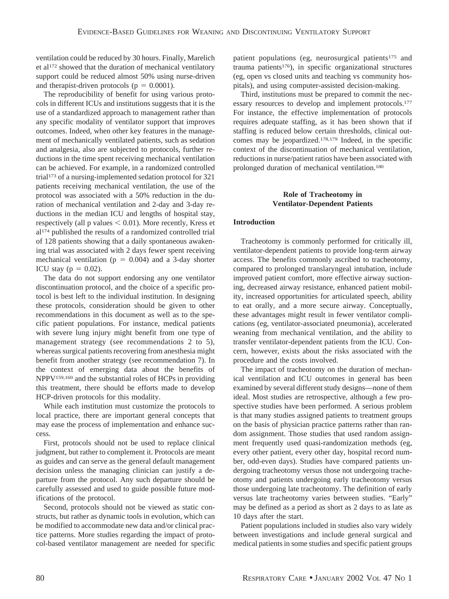ventilation could be reduced by 30 hours. Finally, Marelich et al172 showed that the duration of mechanical ventilatory support could be reduced almost 50% using nurse-driven and therapist-driven protocols ( $p = 0.0001$ ).

The reproducibility of benefit for using various protocols in different ICUs and institutions suggests that it is the use of a standardized approach to management rather than any specific modality of ventilator support that improves outcomes. Indeed, when other key features in the management of mechanically ventilated patients, such as sedation and analgesia, also are subjected to protocols, further reductions in the time spent receiving mechanical ventilation can be achieved. For example, in a randomized controlled trial173 of a nursing-implemented sedation protocol for 321 patients receiving mechanical ventilation, the use of the protocol was associated with a 50% reduction in the duration of mechanical ventilation and 2-day and 3-day reductions in the median ICU and lengths of hospital stay, respectively (all  $p$  values  $\leq 0.01$ ). More recently, Kress et al174 published the results of a randomized controlled trial of 128 patients showing that a daily spontaneous awakening trial was associated with 2 days fewer spent receiving mechanical ventilation ( $p = 0.004$ ) and a 3-day shorter ICU stay ( $p = 0.02$ ).

The data do not support endorsing any one ventilator discontinuation protocol, and the choice of a specific protocol is best left to the individual institution. In designing these protocols, consideration should be given to other recommendations in this document as well as to the specific patient populations. For instance, medical patients with severe lung injury might benefit from one type of management strategy (see recommendations 2 to 5), whereas surgical patients recovering from anesthesia might benefit from another strategy (see recommendation 7). In the context of emerging data about the benefits of NPPV159,160 and the substantial roles of HCPs in providing this treatment, there should be efforts made to develop HCP-driven protocols for this modality.

While each institution must customize the protocols to local practice, there are important general concepts that may ease the process of implementation and enhance success.

First, protocols should not be used to replace clinical judgment, but rather to complement it. Protocols are meant as guides and can serve as the general default management decision unless the managing clinician can justify a departure from the protocol. Any such departure should be carefully assessed and used to guide possible future modifications of the protocol.

Second, protocols should not be viewed as static constructs, but rather as dynamic tools in evolution, which can be modified to accommodate new data and/or clinical practice patterns. More studies regarding the impact of protocol-based ventilator management are needed for specific patient populations (eg, neurosurgical patients<sup>175</sup> and trauma patients<sup>176</sup>), in specific organizational structures (eg, open vs closed units and teaching vs community hospitals), and using computer-assisted decision-making.

Third, institutions must be prepared to commit the necessary resources to develop and implement protocols.<sup>177</sup> For instance, the effective implementation of protocols requires adequate staffing, as it has been shown that if staffing is reduced below certain thresholds, clinical outcomes may be jeopardized.178,179 Indeed, in the specific context of the discontinuation of mechanical ventilation, reductions in nurse/patient ratios have been associated with prolonged duration of mechanical ventilation.180

## **Role of Tracheotomy in Ventilator-Dependent Patients**

## **Introduction**

Tracheotomy is commonly performed for critically ill, ventilator-dependent patients to provide long-term airway access. The benefits commonly ascribed to tracheotomy, compared to prolonged translaryngeal intubation, include improved patient comfort, more effective airway suctioning, decreased airway resistance, enhanced patient mobility, increased opportunities for articulated speech, ability to eat orally, and a more secure airway. Conceptually, these advantages might result in fewer ventilator complications (eg, ventilator-associated pneumonia), accelerated weaning from mechanical ventilation, and the ability to transfer ventilator-dependent patients from the ICU. Concern, however, exists about the risks associated with the procedure and the costs involved.

The impact of tracheotomy on the duration of mechanical ventilation and ICU outcomes in general has been examined by several different study designs—none of them ideal. Most studies are retrospective, although a few prospective studies have been performed. A serious problem is that many studies assigned patients to treatment groups on the basis of physician practice patterns rather than random assignment. Those studies that used random assignment frequently used quasi-randomization methods (eg, every other patient, every other day, hospital record number, odd-even days). Studies have compared patients undergoing tracheotomy versus those not undergoing tracheotomy and patients undergoing early tracheotomy versus those undergoing late tracheotomy. The definition of early versus late tracheotomy varies between studies. "Early" may be defined as a period as short as 2 days to as late as 10 days after the start.

Patient populations included in studies also vary widely between investigations and include general surgical and medical patients in some studies and specific patient groups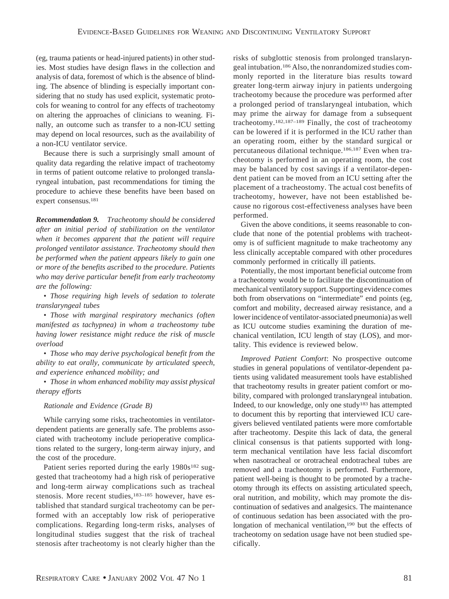(eg, trauma patients or head-injured patients) in other studies. Most studies have design flaws in the collection and analysis of data, foremost of which is the absence of blinding. The absence of blinding is especially important considering that no study has used explicit, systematic protocols for weaning to control for any effects of tracheotomy on altering the approaches of clinicians to weaning. Finally, an outcome such as transfer to a non-ICU setting may depend on local resources, such as the availability of a non-ICU ventilator service.

Because there is such a surprisingly small amount of quality data regarding the relative impact of tracheotomy in terms of patient outcome relative to prolonged translaryngeal intubation, past recommendations for timing the procedure to achieve these benefits have been based on expert consensus.181

*Recommendation 9. Tracheotomy should be considered after an initial period of stabilization on the ventilator when it becomes apparent that the patient will require prolonged ventilator assistance. Tracheotomy should then be performed when the patient appears likely to gain one or more of the benefits ascribed to the procedure. Patients who may derive particular benefit from early tracheotomy are the following:*

• *Those requiring high levels of sedation to tolerate translaryngeal tubes*

• *Those with marginal respiratory mechanics (often manifested as tachypnea) in whom a tracheostomy tube having lower resistance might reduce the risk of muscle overload*

• *Those who may derive psychological benefit from the ability to eat orally, communicate by articulated speech, and experience enhanced mobility; and*

• *Those in whom enhanced mobility may assist physical therapy efforts*

#### *Rationale and Evidence (Grade B)*

While carrying some risks, tracheotomies in ventilatordependent patients are generally safe. The problems associated with tracheotomy include perioperative complications related to the surgery, long-term airway injury, and the cost of the procedure.

Patient series reported during the early 1980s<sup>182</sup> suggested that tracheotomy had a high risk of perioperative and long-term airway complications such as tracheal stenosis. More recent studies,<sup>183-185</sup> however, have established that standard surgical tracheotomy can be performed with an acceptably low risk of perioperative complications. Regarding long-term risks, analyses of longitudinal studies suggest that the risk of tracheal stenosis after tracheotomy is not clearly higher than the risks of subglottic stenosis from prolonged translaryngeal intubation.186 Also, the nonrandomized studies commonly reported in the literature bias results toward greater long-term airway injury in patients undergoing tracheotomy because the procedure was performed after a prolonged period of translaryngeal intubation, which may prime the airway for damage from a subsequent tracheotomy.182,187–189 Finally, the cost of tracheotomy can be lowered if it is performed in the ICU rather than an operating room, either by the standard surgical or percutaneous dilational technique.186,187 Even when tracheotomy is performed in an operating room, the cost may be balanced by cost savings if a ventilator-dependent patient can be moved from an ICU setting after the placement of a tracheostomy. The actual cost benefits of tracheotomy, however, have not been established because no rigorous cost-effectiveness analyses have been performed.

Given the above conditions, it seems reasonable to conclude that none of the potential problems with tracheotomy is of sufficient magnitude to make tracheotomy any less clinically acceptable compared with other procedures commonly performed in critically ill patients.

Potentially, the most important beneficial outcome from a tracheotomy would be to facilitate the discontinuation of mechanical ventilatory support. Supporting evidence comes both from observations on "intermediate" end points (eg, comfort and mobility, decreased airway resistance, and a lower incidence of ventilator-associated pneumonia) as well as ICU outcome studies examining the duration of mechanical ventilation, ICU length of stay (LOS), and mortality. This evidence is reviewed below.

*Improved Patient Comfort*: No prospective outcome studies in general populations of ventilator-dependent patients using validated measurement tools have established that tracheotomy results in greater patient comfort or mobility, compared with prolonged translaryngeal intubation. Indeed, to our knowledge, only one study183 has attempted to document this by reporting that interviewed ICU caregivers believed ventilated patients were more comfortable after tracheotomy. Despite this lack of data, the general clinical consensus is that patients supported with longterm mechanical ventilation have less facial discomfort when nasotracheal or orotracheal endotracheal tubes are removed and a tracheotomy is performed. Furthermore, patient well-being is thought to be promoted by a tracheotomy through its effects on assisting articulated speech, oral nutrition, and mobility, which may promote the discontinuation of sedatives and analgesics. The maintenance of continuous sedation has been associated with the prolongation of mechanical ventilation,<sup>190</sup> but the effects of tracheotomy on sedation usage have not been studied specifically.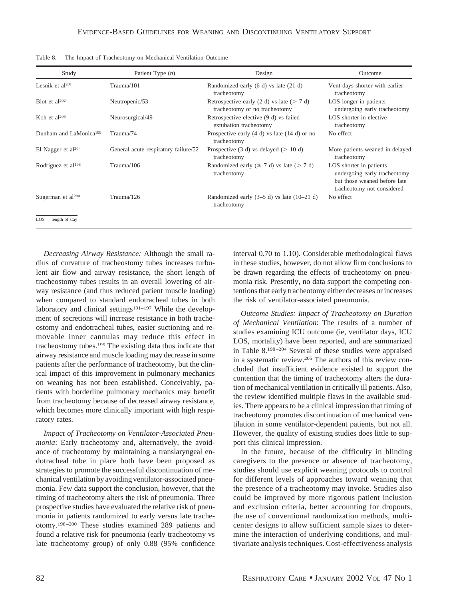| Study                              | Patient Type $(n)$                   | Design                                                                        | Outcome                                                                                                               |
|------------------------------------|--------------------------------------|-------------------------------------------------------------------------------|-----------------------------------------------------------------------------------------------------------------------|
| Lesnik et al <sup>201</sup>        | Trauma/101                           | Randomized early (6 d) vs late (21 d)<br>tracheotomy                          | Vent days shorter with earlier<br>tracheotomy                                                                         |
| Blot et al <sup>202</sup>          | Neutropenic/53                       | Retrospective early (2 d) vs late ( $> 7$ d)<br>tracheotomy or no tracheotomy | LOS longer in patients<br>undergoing early tracheotomy                                                                |
| Koh et al $203$                    | Neurosurgical/49                     | Retrospective elective (9 d) vs failed<br>extubation tracheotomy              | LOS shorter in elective<br>tracheotomy                                                                                |
| Dunham and LaMonica <sup>199</sup> | Trauma/74                            | Prospective early $(4 d)$ vs late $(14 d)$ or no<br>tracheotomy               | No effect                                                                                                             |
| El Nagger et al $204$              | General acute respiratory failure/52 | Prospective (3 d) vs delayed ( $> 10$ d)<br>tracheotomy                       | More patients weaned in delayed<br>tracheotomy                                                                        |
| Rodriguez et al <sup>198</sup>     | Trauma/106                           | Randomized early ( $\leq 7$ d) vs late ( $> 7$ d)<br>tracheotomy              | LOS shorter in patients<br>undergoing early tracheotomy<br>but those weaned before late<br>tracheotomy not considered |
| Sugerman et al $200$               | Trauma/126                           | Randomized early $(3-5 d)$ vs late $(10-21 d)$<br>tracheotomy                 | No effect                                                                                                             |
| $LOS = length of stay$             |                                      |                                                                               |                                                                                                                       |

Table 8. The Impact of Tracheotomy on Mechanical Ventilation Outcome

*Decreasing Airway Resistance:* Although the small radius of curvature of tracheostomy tubes increases turbulent air flow and airway resistance, the short length of tracheostomy tubes results in an overall lowering of airway resistance (and thus reduced patient muscle loading) when compared to standard endotracheal tubes in both laboratory and clinical settings<sup>191–197</sup> While the development of secretions will increase resistance in both tracheostomy and endotracheal tubes, easier suctioning and removable inner cannulas may reduce this effect in tracheostomy tubes.195 The existing data thus indicate that airway resistance and muscle loading may decrease in some patients after the performance of tracheotomy, but the clinical impact of this improvement in pulmonary mechanics on weaning has not been established. Conceivably, patients with borderline pulmonary mechanics may benefit from tracheotomy because of decreased airway resistance, which becomes more clinically important with high respiratory rates.

*Impact of Tracheotomy on Ventilator-Associated Pneumonia*: Early tracheotomy and, alternatively, the avoidance of tracheotomy by maintaining a translaryngeal endotracheal tube in place both have been proposed as strategies to promote the successful discontinuation of mechanical ventilation by avoiding ventilator-associated pneumonia. Few data support the conclusion, however, that the timing of tracheotomy alters the risk of pneumonia. Three prospective studies have evaluated the relative risk of pneumonia in patients randomized to early versus late tracheotomy.198–200 These studies examined 289 patients and found a relative risk for pneumonia (early tracheotomy vs late tracheotomy group) of only 0.88 (95% confidence

interval 0.70 to 1.10). Considerable methodological flaws in these studies, however, do not allow firm conclusions to be drawn regarding the effects of tracheotomy on pneumonia risk. Presently, no data support the competing contentions that early tracheotomy either decreases or increases the risk of ventilator-associated pneumonia.

*Outcome Studies: Impact of Tracheotomy on Duration of Mechanical Ventilation*: The results of a number of studies examining ICU outcome (ie, ventilator days, ICU LOS, mortality) have been reported, and are summarized in Table 8.198–204 Several of these studies were appraised in a systematic review.205 The authors of this review concluded that insufficient evidence existed to support the contention that the timing of tracheotomy alters the duration of mechanical ventilation in critically ill patients. Also, the review identified multiple flaws in the available studies. There appears to be a clinical impression that timing of tracheotomy promotes discontinuation of mechanical ventilation in some ventilator-dependent patients, but not all. However, the quality of existing studies does little to support this clinical impression.

In the future, because of the difficulty in blinding caregivers to the presence or absence of tracheotomy, studies should use explicit weaning protocols to control for different levels of approaches toward weaning that the presence of a tracheotomy may invoke. Studies also could be improved by more rigorous patient inclusion and exclusion criteria, better accounting for dropouts, the use of conventional randomization methods, multicenter designs to allow sufficient sample sizes to determine the interaction of underlying conditions, and multivariate analysis techniques. Cost-effectiveness analysis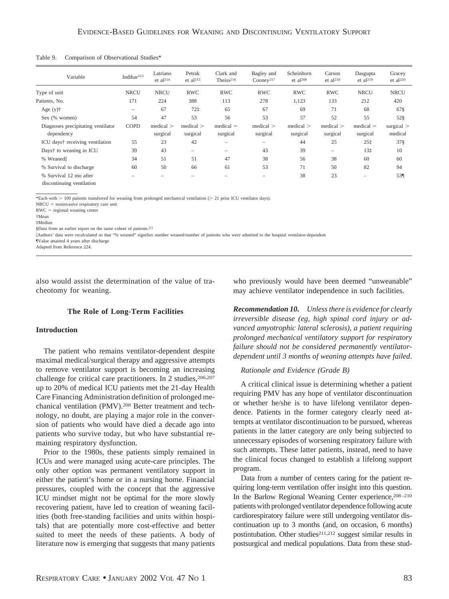| Variable                                            | Indihar <sup>213</sup>   | Latriano<br>et al <sup>214</sup> | Petrak<br>et al $215$ | Clark and<br>Theiss <sup>216</sup> | Bagley and<br>Cooney <sup>217</sup> | Scheinhorn<br>et al <sup>208</sup> | Carson<br>$et$ al <sup>218</sup> | Dasgupta<br>$et$ al <sup>219</sup> | Gracey<br>$et$ al <sup>220</sup> |
|-----------------------------------------------------|--------------------------|----------------------------------|-----------------------|------------------------------------|-------------------------------------|------------------------------------|----------------------------------|------------------------------------|----------------------------------|
| Type of unit                                        | <b>NRCU</b>              | <b>NRCU</b>                      | <b>RWC</b>            | <b>RWC</b>                         | <b>RWC</b>                          | <b>RWC</b>                         | <b>RWC</b>                       | <b>NRCU</b>                        | <b>NRCU</b>                      |
| Patients, No.                                       | 171                      | 224                              | 388                   | 113                                | 278                                 | 1,123                              | 133                              | 212                                | 420                              |
| Age $(y)$ †                                         | $\overline{\phantom{0}}$ | 67                               | 72 <sub>1</sub>       | 65                                 | 67                                  | 69                                 | 71                               | 68                                 | 67§                              |
| Sex (% women)                                       | 54                       | 47                               | 53                    | 56                                 | 53                                  | 57                                 | 52                               | 55                                 | 52\$                             |
| Diagnoses precipitating ventilator<br>dependency    | <b>COPD</b>              | medical<br>surgical              | medical><br>surgical  | $medical$ =<br>surgical            | medical><br>surgical                | medical<br>surgical                | medical<br>surgical              | $medical$ =<br>surgical            | surgical $>$<br>medical          |
| ICU days† receiving ventilation                     | 55                       | 23                               | 42                    | -                                  |                                     | 44                                 | 25                               | 25 <sub>1</sub>                    | 37§                              |
| Days† to weaning in ICU                             | 39                       | 43                               |                       | $\qquad \qquad -$                  | 43                                  | 39                                 | $\overline{\phantom{0}}$         | 13‡                                | 10                               |
| % Weaned                                            | 34                       | 51                               | 51                    | 47                                 | 38                                  | 56                                 | 38                               | 60                                 | 60                               |
| % Survival to discharge                             | 60                       | 50                               | 66                    | 61                                 | 53                                  | 71                                 | 50                               | 82                                 | 94                               |
| % Survival 12 mo after<br>discontinuing ventilation | -                        |                                  | -                     | $\overline{\phantom{a}}$           | $\overline{\phantom{0}}$            | 38                                 | 23                               |                                    | 53¶                              |

Table 9. Comparison of Observational Studies\*

\*Each with 100 patients transferred for weaning from prolonged mechanical ventilation ( 21 prior ICU ventilator days).

 $NRCU =$  noninvasive respiratory care unit

†Mean

‡Median

§Data from an earlier report on the same cohort of patients.211

Authors' data were recalculated so that "% weaned" signifies number weaned/number of patients who were admitted to the hospital ventilator-dependent

¶Value attained 4 years after discharge

Adapted from Reference 224.

also would assist the determination of the value of tracheotomy for weaning.

#### **The Role of Long-Term Facilities**

## **Introduction**

The patient who remains ventilator-dependent despite maximal medical/surgical therapy and aggressive attempts to remove ventilator support is becoming an increasing challenge for critical care practitioners. In 2 studies, 206, 207 up to 20% of medical ICU patients met the 21-day Health Care Financing Administration definition of prolonged mechanical ventilation (PMV).<sup>208</sup> Better treatment and technology, no doubt, are playing a major role in the conversion of patients who would have died a decade ago into patients who survive today, but who have substantial remaining respiratory dysfunction.

Prior to the 1980s, these patients simply remained in ICUs and were managed using acute-care principles. The only other option was permanent ventilatory support in either the patient's home or in a nursing home. Financial pressures, coupled with the concept that the aggressive ICU mindset might not be optimal for the more slowly recovering patient, have led to creation of weaning facilities (both free-standing facilities and units within hospitals) that are potentially more cost-effective and better suited to meet the needs of these patients. A body of literature now is emerging that suggests that many patients

who previously would have been deemed "unweanable" may achieve ventilator independence in such facilities.

*Recommendation 10. Unless there is evidence for clearly irreversible disease (eg, high spinal cord injury or advanced amyotrophic lateral sclerosis), a patient requiring prolonged mechanical ventilatory support for respiratory failure should not be considered permanently ventilatordependent until 3 months of weaning attempts have failed.*

#### *Rationale and Evidence (Grade B)*

A critical clinical issue is determining whether a patient requiring PMV has any hope of ventilator discontinuation or whether he/she is to have lifelong ventilator dependence. Patients in the former category clearly need attempts at ventilator discontinuation to be pursued, whereas patients in the latter category are only being subjected to unnecessary episodes of worsening respiratory failure with such attempts. These latter patients, instead, need to have the clinical focus changed to establish a lifelong support program.

Data from a number of centers caring for the patient requiring long-term ventilation offer insight into this question. In the Barlow Regional Weaning Center experience, <sup>208-210</sup> patients with prolonged ventilator dependence following acute cardiorespiratory failure were still undergoing ventilator discontinuation up to 3 months (and, on occasion, 6 months) postintubation. Other studies<sup>211,212</sup> suggest similar results in postsurgical and medical populations. Data from these stud-

 $RWC$  = regional weaning center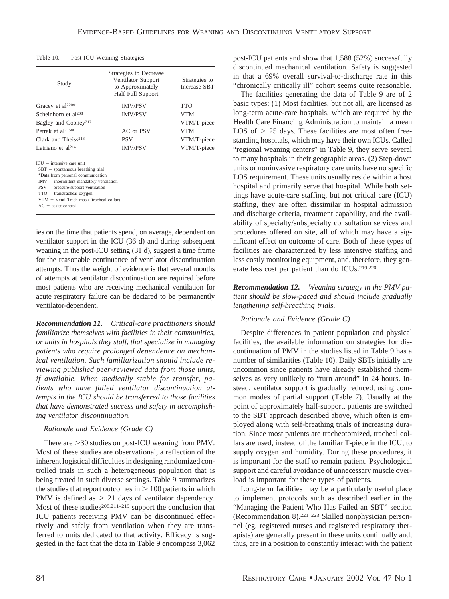| Study                                                                                                                                                                                                                                                                                               | Strategies to Decrease<br>Ventilator Support<br>to Approximately<br><b>Half Full Support</b> | Strategies to<br>Increase SBT |
|-----------------------------------------------------------------------------------------------------------------------------------------------------------------------------------------------------------------------------------------------------------------------------------------------------|----------------------------------------------------------------------------------------------|-------------------------------|
| Gracey et al <sup>220*</sup>                                                                                                                                                                                                                                                                        | <b>IMV/PSV</b>                                                                               | TTO                           |
| Scheinhorn et $a^{1208}$                                                                                                                                                                                                                                                                            | <b>IMV/PSV</b>                                                                               | <b>VTM</b>                    |
| Bagley and Cooney <sup>217</sup>                                                                                                                                                                                                                                                                    |                                                                                              | VTM/T-piece                   |
| Petrak et al215*                                                                                                                                                                                                                                                                                    | AC or PSV                                                                                    | <b>VTM</b>                    |
| Clark and Theiss <sup>216</sup>                                                                                                                                                                                                                                                                     | <b>PSV</b>                                                                                   | VTM/T-piece                   |
| Latriano et al $214$                                                                                                                                                                                                                                                                                | <b>IMV/PSV</b>                                                                               | VTM/T-piece                   |
| $ICU =$ intensive care unit<br>$SBT =$ spontaneous breathing trial<br>*Data from personal communication<br>$IMV =$ intermittent mandatory ventilation<br>$PSV = pressure-support$ ventilation<br>$TTO =$ transtracheal oxygen<br>$VTM = Venti-Trach mask (trached collar)$<br>$AC =$ assist-control |                                                                                              |                               |

ies on the time that patients spend, on average, dependent on ventilator support in the ICU (36 d) and during subsequent weaning in the post-ICU setting (31 d), suggest a time frame for the reasonable continuance of ventilator discontinuation attempts. Thus the weight of evidence is that several months of attempts at ventilator discontinuation are required before most patients who are receiving mechanical ventilation for acute respiratory failure can be declared to be permanently ventilator-dependent.

*Recommendation 11. Critical-care practitioners should familiarize themselves with facilities in their communities, or units in hospitals they staff, that specialize in managing patients who require prolonged dependence on mechanical ventilation. Such familiarization should include reviewing published peer-reviewed data from those units, if available. When medically stable for transfer, patients who have failed ventilator discontinuation attempts in the ICU should be transferred to those facilities that have demonstrated success and safety in accomplishing ventilator discontinuation.*

## *Rationale and Evidence (Grade C)*

There are  $>$  30 studies on post-ICU weaning from PMV. Most of these studies are observational, a reflection of the inherent logistical difficulties in designing randomized controlled trials in such a heterogeneous population that is being treated in such diverse settings. Table 9 summarizes the studies that report outcomes in  $> 100$  patients in which PMV is defined as  $> 21$  days of ventilator dependency. Most of these studies<sup>208,211-219</sup> support the conclusion that ICU patients receiving PMV can be discontinued effectively and safely from ventilation when they are transferred to units dedicated to that activity. Efficacy is suggested in the fact that the data in Table 9 encompass 3,062

post-ICU patients and show that 1,588 (52%) successfully discontinued mechanical ventilation. Safety is suggested in that a 69% overall survival-to-discharge rate in this "chronically critically ill" cohort seems quite reasonable.

The facilities generating the data of Table 9 are of 2 basic types: (1) Most facilities, but not all, are licensed as long-term acute-care hospitals, which are required by the Health Care Financing Administration to maintain a mean LOS of  $> 25$  days. These facilities are most often freestanding hospitals, which may have their own ICUs. Called "regional weaning centers" in Table 9, they serve several to many hospitals in their geographic areas. (2) Step-down units or noninvasive respiratory care units have no specific LOS requirement. These units usually reside within a host hospital and primarily serve that hospital. While both settings have acute-care staffing, but not critical care (ICU) staffing, they are often dissimilar in hospital admission and discharge criteria, treatment capability, and the availability of specialty/subspecialty consultation services and procedures offered on site, all of which may have a significant effect on outcome of care. Both of these types of facilities are characterized by less intensive staffing and less costly monitoring equipment, and, therefore, they generate less cost per patient than do ICUs.<sup>219,220</sup>

*Recommendation 12. Weaning strategy in the PMV patient should be slow-paced and should include gradually lengthening self-breathing trials.*

## *Rationale and Evidence (Grade C)*

Despite differences in patient population and physical facilities, the available information on strategies for discontinuation of PMV in the studies listed in Table 9 has a number of similarities (Table 10). Daily SBTs initially are uncommon since patients have already established themselves as very unlikely to "turn around" in 24 hours. Instead, ventilator support is gradually reduced, using common modes of partial support (Table 7). Usually at the point of approximately half-support, patients are switched to the SBT approach described above, which often is employed along with self-breathing trials of increasing duration. Since most patients are tracheotomized, tracheal collars are used, instead of the familiar T-piece in the ICU, to supply oxygen and humidity. During these procedures, it is important for the staff to remain patient. Psychological support and careful avoidance of unnecessary muscle overload is important for these types of patients.

Long-term facilities may be a particularly useful place to implement protocols such as described earlier in the "Managing the Patient Who Has Failed an SBT" section (Recommendation 8).221–223 Skilled nonphysician personnel (eg, registered nurses and registered respiratory therapists) are generally present in these units continually and, thus, are in a position to constantly interact with the patient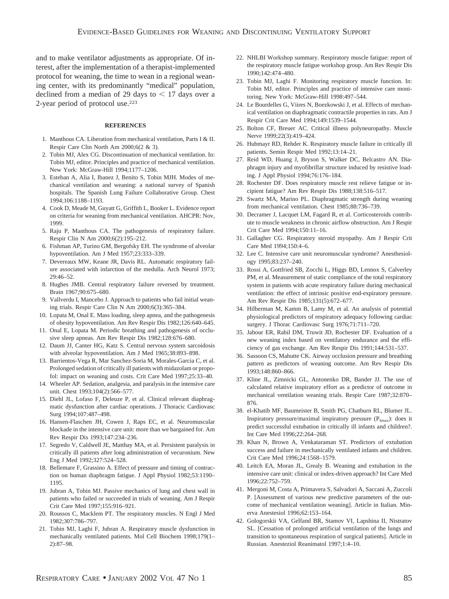and to make ventilator adjustments as appropriate. Of interest, after the implementation of a therapist-implemented protocol for weaning, the time to wean in a regional weaning center, with its predominantly "medical" population, declined from a median of 29 days to  $\leq$  17 days over a 2-year period of protocol use.223

#### **REFERENCES**

- 1. Manthous CA. Liberation from mechanical ventilation, Parts I & II. Respir Care Clin North Am 2000;6(2 & 3).
- 2. Tobin MJ, Alex CG. Discontinuation of mechanical ventilation. In: Tobin MJ, editor. Principles and practice of mechanical ventilation. New York: McGraw-Hill 1994;1177–1206.
- 3. Esteban A, Alia I, Ibanez J, Benito S, Tobin MJH. Modes of mechanical ventilation and weaning: a national survey of Spanish hospitals. The Spanish Lung Failure Collaborative Group. Chest 1994;106:1188–1193.
- 4. Cook D, Meade M, Guyatt G, Griffith L, Booker L. Evidence report on criteria for weaning from mechanical ventilation. AHCPR: Nov, 1999.
- 5. Raju P, Manthous CA. The pathogenesis of respiratory failure. Respir Clin N Am 2000;6(2):195–212.
- 6. Fishman AP, Turino GM, Bergofsky EH. The syndrome of alveolar hypoventilation. Am J Med 1957;23:333–339.
- 7. Devereaux MW, Keane JR, Davis RL. Automatic respiratory failure associated with infarction of the medulla. Arch Neurol 1973; 29:46–52.
- 8. Hughes JMB. Central respiratory failure reversed by treatment. Brain 1967;90:675–680.
- 9. Vallverdu I, Mancebo J. Approach to patients who fail initial weaning trials. Respir Care Clin N Am 2000;6(3):365–384.
- 10. Lopata M, Onal E. Mass loading, sleep apnea, and the pathogenesis of obesity hypoventilation. Am Rev Respir Dis 1982;126:640–645.
- 11. Onal E, Lopata M. Periodic breathing and pathogenesis of occlusive sleep apneas. Am Rev Respir Dis 1982;128:676–680.
- 12. Daum JJ, Canter HG, Katz S. Central nervous system sarcoidosis with alveolar hypoventilation. Am J Med 1965;38:893–898.
- 13. Barrientos-Vega R, Mar Sanchez-Soria M, Morales-Garcia C, et al. Prolonged sedation of critically ill patients with midazolam or propofol: impact on weaning and costs. Crit Care Med 1997;25:33–40.
- 14. Wheeler AP. Sedation, analgesia, and paralysis in the intensive care unit. Chest 1993;104(2):566–577.
- 15. Diehl JL, Lofaso F, Deleuze P, et al. Clinical relevant diaphragmatic dysfunction after cardiac operations. J Thoracic Cardiovasc Surg 1994;107:487–498.
- 16. Hansen-Flaschen JH, Cowen J, Raps EC, et al. Neuromuscular blockade in the intensive care unit: more than we bargained for. Am Rev Respir Dis 1993;147:234–236.
- 17. Segredo V, Caldwell JE, Matthay MA, et al. Persistent paralysis in critically ill patients after long administration of vecuronium. New Eng J Med 1992;327:524–528.
- 18. Bellemare F, Grassino A. Effect of pressure and timing of contraction on human diaphragm fatigue. J Appl Physiol 1982;53:1190– 1195.
- 19. Jubran A, Tobin MJ. Passive mechanics of lung and chest wall in patients who failed or succeeded in trials of weaning. Am J Respir Crit Care Med 1997;155:916–921.
- 20. Roussos C, Macklem PT. The respiratory muscles. N Engl J Med 1982;307:786–797.
- 21. Tobin MJ, Laghi F, Jubran A. Respiratory muscle dysfunction in mechanically ventilated patients. Mol Cell Biochem 1998;179(1– 2):87–98.
- 22. NHLBI Workshop summary. Respiratory muscle fatigue: report of the respiratory muscle fatigue workshop group. Am Rev Respir Dis 1990;142:474–480.
- 23. Tobin MJ, Laghi F. Monitoring respiratory muscle function. In: Tobin MJ, editor. Principles and practice of intensive care monitoring. New York: McGraw-Hill 1998:497–544.
- 24. Le Bourdelles G, Viires N, Boezkowski J, et al. Effects of mechanical ventilation on diaphragmatic contractile properties in rats. Am J Respir Crit Care Med 1994;149:1539–1544.
- 25. Bolton CF, Breuer AC. Critical illness polyneuropathy. Muscle Nerve 1999;22(3):419–424.
- 26. Hubmayr RD, Rehder K. Respiratory muscle failure in critically ill patients. Semin Respir Med 1992;13:14–21.
- 27. Reid WD, Huang J, Bryson S, Walker DC, Belcastro AN. Diaphragm injury and myofibrillar structure induced by resistive loading. J Appl Physiol 1994;76:176–184.
- 28. Rochester DF. Does respiratory muscle rest relieve fatigue or incipient fatigue? Am Rev Respir Dis 1988;138:516–517.
- 29. Swartz MA, Marino PL. Diaphragmatic strength during weaning from mechanical ventilation. Chest 1985;88:736–739.
- 30. Decramer J, Lacquet LM, Fagard R, et al. Corticosteroids contribute to muscle weakness in chronic airflow obstruction. Am J Respir Crit Care Med 1994;150:11–16.
- 31. Gallagher CG. Respiratory steroid myopathy. Am J Respir Crit Care Med 1994;150:4–6.
- 32. Lee C. Intensive care unit neuromuscular syndrome? Anesthesiology 1995;83:237–240.
- 33. Rossi A, Gottfried SB, Zocchi L, Higgs BD, Lennox S, Calverley PM, et al. Measurement of static compliance of the total respiratory system in patients with acute respiratory failure during mechanical ventilation: the effect of intrinsic positive end-expiratory pressure. Am Rev Respir Dis 1985;131(5):672–677.
- 34. Hilberman M, Kamm B, Lamy M, et al. An analysis of potential physiological predictors of respiratory adequacy following cardiac surgery. J Thorac Cardiovasc Surg 1976;71:711–720.
- 35. Jabour ER, Rabil DM, Truwit JD, Rochester DF. Evaluation of a new weaning index based on ventilatory endurance and the efficiency of gas exchange. Am Rev Respir Dis 1991;144:531–537.
- 36. Sassoon CS, Mahutte CK. Airway occlusion pressure and breathing pattern as predictors of weaning outcome. Am Rev Respir Dis 1993;148:860–866.
- 37. Kline JL, Zimnicki GL, Antonenko DR, Bander JJ. The use of calculated relative inspiratory effort as a predictor of outcome in mechanical ventilation weaning trials. Respir Care 1987;32:870– 876.
- 38. el-Khatib MF, Baumeister B, Smith PG, Chatburn RL, Blumer JL. Inspiratory pressure/maximal inspiratory pressure  $(P_{\text{Imax}})$ : does it predict successful extubation in critically ill infants and children?. Int Care Med 1996;22:264–268.
- 39. Khan N, Brown A, Venkataraman ST. Predictors of extubation success and failure in mechanically ventilated infants and children. Crit Care Med 1996;24:1568–1579.
- 40. Leitch EA, Moran JL, Grealy B. Weaning and extubation in the intensive care unit: clinical or index-driven approach? Int Care Med 1996;22:752–759.
- 41. Mergoni M, Costa A, Primavera S, Salvadori A, Saccani A, Zuccoli P. [Assessment of various new predictive parameters of the outcome of mechanical ventilation weaning]. Article in Italian. Minerva Anestesiol 1996;62:153–164.
- 42. Gologorskii VA, Gelfand BR, Stamov VI, Lapshina II, Nistratov SL. [Cessation of prolonged artificial ventilation of the lungs and transition to spontaneous respiration of surgical patients]. Article in Russian. Anesteziol Reanimatol 1997;1:4–10.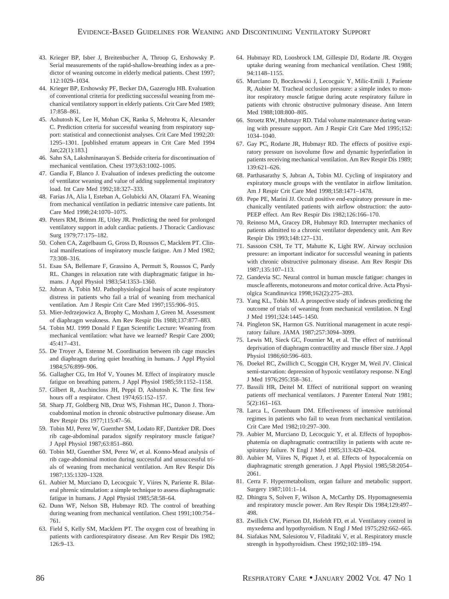- 43. Krieger BP, Isber J, Breitenbucher A, Throop G, Ershowsky P. Serial measurements of the rapid-shallow-breathing index as a predictor of weaning outcome in elderly medical patients. Chest 1997; 112:1029–1034.
- 44. Krieger BP, Ershowsky PF, Becker DA, Gazeroglu HB. Evaluation of conventional criteria for predicting successful weaning from mechanical ventilatory support in elderly patients. Crit Care Med 1989; 17:858–861.
- 45. Ashutosh K, Lee H, Mohan CK, Ranka S, Mehrotra K, Alexander C. Prediction criteria for successful weaning from respiratory support: statistical and connectionist analyses. Crit Care Med 1992;20: 1295–1301. [published erratum appears in Crit Care Med 1994 Jan;22(1):183.]
- 46. Sahn SA, Lakshminarayan S. Bedside criteria for discontinuation of mechanical ventilation. Chest 1973;63:1002–1005.
- 47. Gandia F, Blanco J. Evaluation of indexes predicting the outcome of ventilator weaning and value of adding supplemental inspiratory load. Int Care Med 1992;18:327–333.
- 48. Farias JA, Alia I, Esteban A, Golubicki AN, Olazarri FA. Weaning from mechanical ventilation in pediatric intensive care patients. Int Care Med 1998;24:1070–1075.
- 49. Peters RM, Brimm JE, Utley JR. Predicting the need for prolonged ventilatory support in adult cardiac patients. J Thoracic Cardiovasc Surg 1979;77:175–182.
- 50. Cohen CA, Zagelbaum G, Gross D, Roussos C, Macklem PT. Clinical manifestations of inspiratory muscle fatigue. Am J Med 1982; 73:308–316.
- 51. Esau SA, Bellemare F, Grassino A, Permutt S, Roussos C, Pardy RL. Changes in relaxation rate with diaphragmatic fatigue in humans. J Appl Physiol 1983;54:1353–1360.
- 52. Jubran A, Tobin MJ. Pathophysiological basis of acute respiratory distress in patients who fail a trial of weaning from mechanical ventilation. Am J Respir Crit Care Med 1997;155:906–915.
- 53. Mier-Jedrzejowicz A, Brophy C, Moxham J, Green M. Assessment of diaphragm weakness. Am Rev Respir Dis 1988;137:877–883.
- 54. Tobin MJ. 1999 Donald F Egan Scientific Lecture: Weaning from mechanical ventilation: what have we learned? Respir Care 2000; 45:417–431.
- 55. De Troyer A, Estenne M. Coordination between rib cage muscles and diaphragm during quiet breathing in humans. J Appl Physiol 1984;576:899–906.
- 56. Gallagher CG, Im Hof V, Younes M. Effect of inspiratory muscle fatigue on breathing pattern. J Appl Physiol 1985;59:1152–1158.
- 57. Gilbert R, Auchincloss JH, Peppi D, Ashutosh K. The first few hours off a respirator. Chest 1974;65:152–157.
- 58. Sharp JT, Goldberg NB, Druz WS, Fishman HC, Danon J. Thoracoabdominal motion in chronic obstructive pulmonary disease. Am Rev Respir Dis 1977;115:47–56.
- 59. Tobin MJ, Perez W, Guenther SM, Lodato RF, Dantzker DR. Does rib cage-abdominal paradox signify respiratory muscle fatigue? J Appl Physiol 1987;63:851–860.
- 60. Tobin MJ, Guenther SM, Perez W, et al. Konno-Mead analysis of rib cage-abdominal motion during successful and unsuccessful trials of weaning from mechanical ventilation. Am Rev Respir Dis 1987;135:1320–1328.
- 61. Aubier M, Murciano D, Lecocguic Y, Viires N, Pariente R. Bilateral phrenic stimulation: a simple technique to assess diaphragmatic fatigue in humans. J Appl Physiol 1985;58:58–64.
- 62. Dunn WF, Nelson SB, Hubmayr RD. The control of breathing during weaning from mechanical ventilation. Chest 1991;100:754– 761.
- 63. Field S, Kelly SM, Macklem PT. The oxygen cost of breathing in patients with cardiorespiratory disease. Am Rev Respir Dis 1982; 126:9–13.
- 64. Hubmayr RD, Loosbrock LM, Gillespie DJ, Rodarte JR. Oxygen uptake during weaning from mechanical ventilation. Chest 1988; 94:1148–1155.
- 65. Murciano D, Boczkowski J, Lecocguic Y, Milic-Emili J, Pariente R, Aubier M. Tracheal occlusion pressure: a simple index to monitor respiratory muscle fatigue during acute respiratory failure in patients with chronic obstructive pulmonary disease. Ann Intern Med 1988;108:800–805.
- 66. Stroetz RW, Hubmayr RD. Tidal volume maintenance during weaning with pressure support. Am J Respir Crit Care Med 1995;152: 1034–1040.
- 67. Gay PC, Rodarte JR, Hubmayr RD. The effects of positive expiratory pressure on isovolume flow and dynamic hyperinflation in patients receiving mechanical ventilation. Am Rev Respir Dis 1989; 139:621–626.
- 68. Parthasarathy S, Jubran A, Tobin MJ. Cycling of inspiratory and expiratory muscle groups with the ventilator in airflow limitation. Am J Respir Crit Care Med 1998;158:1471–1478.
- 69. Pepe PE, Marini JJ. Occult positive end-expiratory pressure in mechanically ventilated patients with airflow obstruction: the auto-PEEP effect. Am Rev Respir Dis 1982;126:166–170.
- 70. Reinoso MA, Gracey DR, Hubmayr RD. Interrupter mechanics of patients admitted to a chronic ventilator dependency unit. Am Rev Respir Dis 1993;148:127–131.
- 71. Sassoon CSH, Te TT, Mahutte K, Light RW. Airway occlusion pressure: an important indicator for successful weaning in patients with chronic obstructive pulmonary disease. Am Rev Respir Dis 1987;135:107–113.
- 72. Gandevia SC. Neural control in human muscle fatigue: changes in muscle afferents, motoneurons and motor cortical drive. Acta Physiolgica Scandinavica 1998;162(2):275–283.
- 73. Yang KL, Tobin MJ. A prospective study of indexes predicting the outcome of trials of weaning from mechanical ventilation. N Engl J Med 1991;324:1445–1450.
- 74. Pingleton SK, Harmon GS. Nutritional management in acute respiratory failure. JAMA 1987;257:3094–3099.
- 75. Lewis MI, Sieck GC, Fournier M, et al. The effect of nutritional deprivation of diaphragm contractility and muscle fiber size. J Appl Physiol 1986;60:596–603.
- 76. Doekel RC, Zwillich C, Scoggin CH, Kryger M, Weil JV. Clinical semi-starvation: depression of hypoxic ventilatory response. N Engl J Med 1976;295:358–361.
- 77. Bassili HR, Deitel M. Effect of nutritional support on weaning patients off mechanical ventilators. J Parenter Enteral Nutr 1981; 5(2):161–163.
- 78. Larca L, Greenbaum DM. Effectiveness of intensive nutritional regimes in patients who fail to wean from mechanical ventilation. Crit Care Med 1982;10:297–300.
- 79. Aubier M, Murciano D, Lecocguic Y, et al. Effects of hypophosphatemia on diaphragmatic contractility in patients with acute respiratory failure. N Engl J Med 1985;313:420–424.
- 80. Aubier M, Viires N, Piquet J, et al. Effects of hypocalcemia on diaphragmatic strength generation. J Appl Physiol 1985;58:2054– 2061.
- 81. Cerra F. Hypermetabolism, organ failure and metabolic support. Surgery 1987;101:1–14.
- 82. Dhingra S, Solven F, Wilson A, McCarthy DS. Hypomagnesemia and respiratory muscle power. Am Rev Respir Dis 1984;129:497– 498.
- 83. Zwillich CW, Pierson DJ, Hofeldt FD, et al. Ventilatory control in myxedema and hypothyroidism. N Engl J Med 1975;292:662–665.
- 84. Siafakas NM, Salesiotou V, Filaditaki V, et al. Respiratory muscle strength in hypothyroidism. Chest 1992;102:189–194.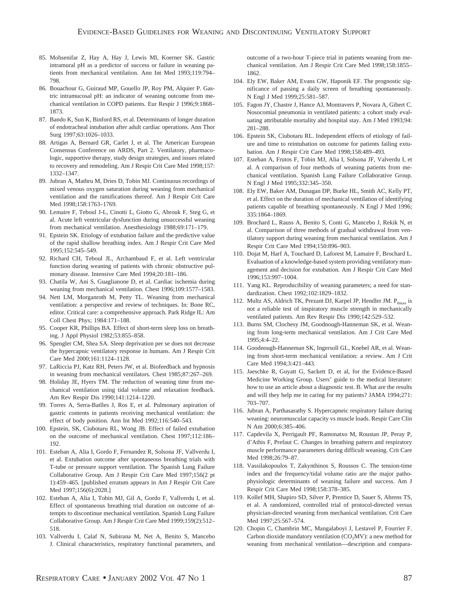- 85. Mohsenifar Z, Hay A, Hay J, Lewis MI, Koerner SK. Gastric intramural pH as a predictor of success or failure in weaning patients from mechanical ventilation. Ann Int Med 1993;119:794– 798.
- 86. Bouachour G, Guiraud MP, Gouello JP, Roy PM, Alquier P. Gastric intramucosal pH: an indicator of weaning outcome from mechanical ventilation in COPD patients. Eur Respir J 1996;9:1868– 1873.
- 87. Bando K, Sun K, Binford RS, et al. Determinants of longer duration of endotracheal intubation after adult cardiac operations. Ann Thor Surg 1997;63:1026–1033.
- 88. Artigas A, Bernard GR, Carlet J, et al. The American European Consensus Conference on ARDS, Part 2. Ventilatory, pharmacologic, supportive therapy, study design strategies, and issues related to recovery and remodeling. Am J Respir Crit Care Med 1998;157: 1332–1347.
- 89. Jubran A, Mathru M, Dries D, Tobin MJ. Continuous recordings of mixed venous oxygen saturation during weaning from mechanical ventilation and the ramifications thereof. Am J Respir Crit Care Med 1998:158:1763-1769.
- 90. Lemaire F, Teboul J-L, Cinotti L, Giotto G, Abrouk F, Steg G, et al. Acute left ventricular dysfunction during unsuccessful weaning from mechanical ventilation. Anesthesiology 1988;69:171–179.
- 91. Epstein SK. Etiology of extubation failure and the predictive value of the rapid shallow breathing index. Am J Respir Crit Care Med 1995;152:545–549.
- 92. Richard CH, Teboul JL, Archambaud F, et al. Left ventricular function during weaning of patients with chronic obstructive pulmonary disease. Intensive Care Med 1994;20:181–186.
- 93. Chatila W, Ani S, Guaglianone D, et al. Cardiac ischemia during weaning from mechanical ventilation. Chest 1996;109:1577–1583.
- 94. Nett LM, Morganroth M, Petty TL. Weaning from mechanical ventilation: a perspective and review of techniques. In: Bone RC, editor. Critical care: a comprehensive approach. Park Ridge IL: Am Coll Chest Phys; 1984:171–188.
- 95. Cooper KR, Phillips BA. Effect of short-term sleep loss on breathing. J Appl Physiol 1982;53:855–858.
- 96. Spengler CM, Shea SA. Sleep deprivation per se does not decrease the hypercapnic ventilatory response in humans. Am J Respir Crit Care Med 2000;161:1124–1128.
- 97. LaRiccia PJ, Katz RH, Peters JW, et al. Biofeedback and hypnosis in weaning from mechanical ventilators. Chest 1985;87:267–269.
- 98. Holiday JE, Hyers TM. The reduction of weaning time from mechanical ventilation using tidal volume and relaxation feedback. Am Rev Respir Dis 1990;141:1214–1220.
- 99. Torres A, Serra-Batlles J, Ros E, et al. Pulmonary aspiration of gastric contents in patients receiving mechanical ventilation: the effect of body position. Ann Int Med 1992;116:540–543.
- 100. Epstein, SK, Ciubotaru RL, Wong JB. Effect of failed extubation on the outcome of mechanical ventilation. Chest 1997;112:186– 192.
- 101. Esteban A, Alia I, Gordo F, Fernandez R, Solsona JF, Vallverdu I, et al. Extubation outcome after spontaneous breathing trials with T-tube or pressure support ventilation. The Spanish Lung Failure Collaborative Group. Am J Respir Crit Care Med 1997;156(2 pt 1):459–465. [published erratum appears in Am J Respir Crit Care Med 1997;156(6):2028.]
- 102. Esteban A, Alia I, Tobin MJ, Gil A, Gordo F, Vallverdu I, et al. Effect of spontaneous breathing trial duration on outcome of attempts to discontinue mechanical ventilation. Spanish Lung Failure Collaborative Group. Am J Respir Crit Care Med 1999;159(2):512– 518.
- 103. Vallverdu I, Calaf N, Subirana M, Net A, Benito S, Mancebo J. Clinical characteristics, respiratory functional parameters, and

outcome of a two-hour T-piece trial in patients weaning from mechanical ventilation. Am J Respir Crit Care Med 1998;158:1855– 1862.

- 104. Ely EW, Baker AM, Evans GW, Haponik EF. The prognostic significance of passing a daily screen of breathing spontaneously. N Engl J Med 1999;25:581–587.
- 105. Fagon JY, Chastre J, Hance AJ, Montravers P, Novara A, Gibert C. Nosocomial pneumonia in ventilated patients: a cohort study evaluating attributable mortality ahd hospital stay. Am J Med 1993;94: 281–288.
- 106. Epstein SK, Ciubotaru RL. Independent effects of etiology of failure and time to reintubation on outcome for patients failing extubation. Am J Respir Crit Care Med 1998;158:489–493.
- 107. Esteban A, Frutos F, Tobin MJ, Alia I, Solsona JF, Valverdu I, et al. A comparison of four methods of weaning patients from mechanical ventilation. Spanish Lung Failure Collaborative Group. N Engl J Med 1995;332:345–350.
- 108. Ely EW, Baker AM, Dunagan DP, Burke HL, Smith AC, Kelly PT, et al. Effect on the duration of mechanical ventilation of identifying patients capable of breathing spontaneously. N Engl J Med 1996; 335:1864–1869.
- 109. Brochard L, Rauss A, Benito S, Conti G, Mancebo J, Rekik N, et al. Comparison of three methods of gradual withdrawal from ventilatory support during weaning from mechanical ventilation. Am J Respir Crit Care Med 1994;150:896–903.
- 110. Dojat M, Harf A, Touchard D, Laforest M, Lamaire F, Brochard L. Evaluation of a knowledge-based system providing ventilatory management and decision for extubation. Am J Respir Crit Care Med 1996;153:997–1004.
- 111. Yang KL. Reproducibility of weaning parameters; a need for standardization. Chest 1992;102:1829–1832.
- 112. Multz AS, Aldrich TK, Prezant DJ, Karpel JP, Hendler JM.  $P_{I_{\text{max}}}$  is not a reliable test of inspiratory muscle strength in mechanically ventilated patients. Am Rev Respir Dis 1990;142:529–532.
- 113. Burns SM, Clochesy JM, Goodnough-Hanneman SK, et al. Weaning from long-term mechanical ventilation. Am J Crit Care Med 1995;4:4–22.
- 114. Goodnough-Hanneman SK, Ingersoll GL, Knebel AR, et al. Weaning from short-term mechanical ventilation: a review. Am J Crit Care Med 1994;3:421–443.
- 115. Jaeschke R, Guyatt G, Sackett D, et al, for the Evidence-Based Medicine Working Group. Users' guide to the medical literature: how to use an article about a diagnostic test. B. What are the results and will they help me in caring for my patients? JAMA 1994;271: 703–707.
- 116. Jubran A, Parthasarathy S. Hypercapneic respiratory failure during weaning: neuromuscular capacity vs muscle loads. Respir Care Clin N Am 2000;6:385–406.
- 117. Capdevila X, Perrigault PF, Ramonatxo M, Roustan JP, Peray P, d'Athis F, Prefaut C. Changes in breathing pattern and respiratory muscle performance parameters during difficult weaning. Crit Care Med 1998;26:79–87.
- 118. Vassilakopoulos T, Zakynthinos S, Roussos C. The tension-time index and the frequency/tidal volume ratio are the major pathophysiologic determinants of weaning failure and success. Am J Respir Crit Care Med 1998;158:378–385.
- 119. Kollef MH, Shapiro SD, Silver P, Prentice D, Sauer S, Ahrens TS, et al. A randomized, controlled trial of protocol-directed versus physician-directed weaning from mechanical ventilation. Crit Care Med 1997;25:567–574.
- 120. Chopin C, Chambrin MC, Mangalaboyi J, Lestavel P, Fourrier F. Carbon dioxide mandatory ventilation ( $CO<sub>2</sub>MV$ ): a new method for weaning from mechanical ventilation—description and compara-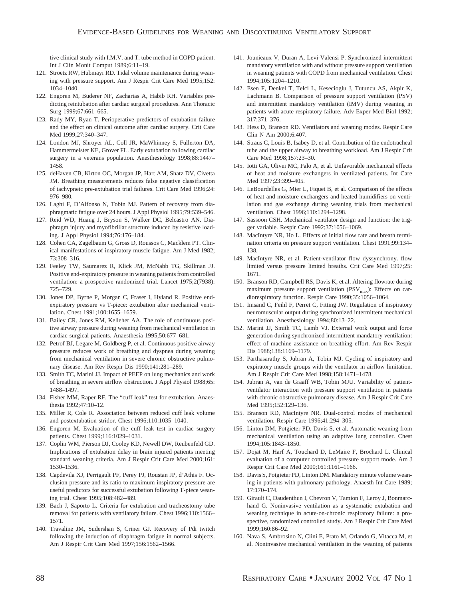tive clinical study with I.M.V. and T. tube method in COPD patient. Int J Clin Monit Comput 1989;6:11–19.

- 121. Stroetz RW, Hubmayr RD. Tidal volume maintenance during weaning with pressure support. Am J Respir Crit Care Med 1995;152: 1034–1040.
- 122. Engoren M, Buderer NF, Zacharias A, Habib RH. Variables predicting reintubation after cardiac surgical procedures. Ann Thoracic Surg 1999;67:661–665.
- 123. Rady MY, Ryan T. Perioperative predictors of extubation failure and the effect on clinical outcome after cardiac surgery. Crit Care Med 1999;27:340–347.
- 124. London MJ, Shroyer AL, Coll JR, MaWhinney S, Fullerton DA, Hammermeister KE, Grover FL. Early extubation following cardiac surgery in a veterans population. Anesthesiology 1998;88:1447– 1458.
- 125. deHaven CB, Kirton OC, Morgan JP, Hart AM, Shatz DV, Civetta JM. Breathing measurements reduces false negative classification of tachypneic pre-extubation trial failures. Crit Care Med 1996;24: 976–980.
- 126. Laghi F, D'Alfonso N, Tobin MJ. Pattern of recovery from diaphragmatic fatigue over 24 hours. J Appl Physiol 1995;79:539–546.
- 127. Reid WD, Huang J, Bryson S, Walker DC, Belcastro AN. Diaphragm injury and myofibrillar structure induced by resistive loading. J Appl Physiol 1994;76:176–184.
- 128. Cohen CA, Zagelbaum G, Gross D, Roussos C, Macklem PT. Clinical manifestations of inspiratory muscle fatigue. Am J Med 1982; 73:308–316.
- 129. Feeley TW, Saumarez R, Klick JM, McNabb TG, Skillman JJ. Positive end-expiratory pressure in weaning patients from controlled ventilation: a prospective randomized trial. Lancet 1975;2(7938): 725–729.
- 130. Jones DP, Byrne P, Morgan C, Fraser I, Hyland R. Positive endexpiratory pressure vs T-piece: extubation after mechanical ventilation. Chest 1991;100:1655–1659.
- 131. Bailey CR, Jones RM, Kelleher AA. The role of continuous positive airway pressure during weaning from mechanical ventilation in cardiac surgical patients. Anaesthesia 1995;50:677–681.
- 132. Petrof BJ, Legare M, Goldberg P, et al. Continuous positive airway pressure reduces work of breathing and dyspnea during weaning from mechanical ventilation in severe chronic obstructive pulmonary disease. Am Rev Respir Dis 1990;141:281–289.
- 133. Smith TC, Marini JJ. Impact of PEEP on lung mechanics and work of breathing in severe airflow obstruction. J Appl Physiol 1988;65: 1488–1497.
- 134. Fisher MM, Raper RF. The "cuff leak" test for extubation. Anaesthesia 1992;47:10–12.
- 135. Miller R, Cole R. Association between reduced cuff leak volume and postextubation stridor. Chest 1996;110:1035–1040.
- 136. Engoren M. Evaluation of the cuff leak test in cardiac surgery patients. Chest 1999;116:1029–1031.
- 137. Coplin WM, Pierson DJ, Cooley KD, Newell DW, Reubenfeld GD. Implications of extubation delay in brain injured patients meeting standard weaning criteria. Am J Respir Crit Care Med 2000;161: 1530–1536.
- 138. Capdevila XJ, Perrigault PF, Perey PJ, Roustan JP, d'Athis F. Occlusion pressure and its ratio to maximum inspiratory pressure are useful predictors for successful extubation following T-piece weaning trial. Chest 1995;108:482–489.
- 139. Bach J, Saporto L. Criteria for extubation and tracheostomy tube removal for patients with ventilatory failure. Chest 1996;110:1566– 1571.
- 140. Travaline JM, Sudershan S, Criner GJ. Recovery of Pdi twitch following the induction of diaphragm fatigue in normal subjects. Am J Respir Crit Care Med 1997;156:1562–1566.
- 141. Jounieaux V, Duran A, Levi-Valensi P. Synchronized intermittent mandatory ventilation with and without pressure support ventilation in weaning patients with COPD from mechanical ventilation. Chest 1994;105:1204–1210.
- 142. Esen F, Denkel T, Telci L, Kesecioglu J, Tutuncu AS, Akpir K, Lachmann B. Comparison of pressure support ventilation (PSV) and intermittent mandatory ventilation (IMV) during weaning in patients with acute respiratory failure. Adv Exper Med Biol 1992; 317:371–376.
- 143. Hess D, Branson RD. Ventilators and weaning modes. Respir Care Clin N Am 2000;6:407.
- 144. Straus C, Louis B, Isabey D, et al. Contribution of the endotracheal tube and the upper airway to breathing workload. Am J Respir Crit Care Med 1998;157:23–30.
- 145. Iotti GA, Olivei MC, Palo A, et al. Unfavorable mechanical effects of heat and moisture exchangers in ventilated patients. Int Care Med 1997;23:399–405.
- 146. LeBourdelles G, Mier L, Fiquet B, et al. Comparison of the effects of heat and moisture exchangers and heated humidifiers on ventilation and gas exchange during weaning trials from mechanical ventilation. Chest 1996;110:1294–1298.
- 147. Sassoon CSH. Mechanical ventilator design and function: the trigger variable. Respir Care 1992;37:1056–1069.
- 148. MacIntyre NR, Ho L. Effects of initial flow rate and breath termination criteria on pressure support ventilation. Chest 1991;99:134– 138.
- 149. MacIntyre NR, et al. Patient-ventilator flow dyssynchrony. flow limited versus pressure limited breaths. Crit Care Med 1997;25: 1671.
- 150. Branson RD, Campbell RS, Davis K, et al. Altering flowrate during maximum pressure support ventilation  $(PSV<sub>max</sub>)$ : Effects on cardiorespiratory function. Respir Care 1990;35:1056–1064.
- 151. Imsand C, Feihl F, Perret C, Fitting JW. Regulation of inspiratory neuromuscular output during synchronized intermittent mechanical ventilation. Anesthesiology 1994;80:13–22.
- 152. Marini JJ, Smith TC, Lamb VJ. External work output and force generation during synchronized intermittent mandatory ventilation: effect of machine assistance on breathing effort. Am Rev Respir Dis 1988;138:1169–1179.
- 153. Parthasarathy S, Jubran A, Tobin MJ. Cycling of inspiratory and expiratory muscle groups with the ventilator in airflow limitation. Am J Respir Crit Care Med 1998;158:1471–1478.
- 154. Jubran A, van de Graaff WB, Tobin MJU. Variability of patientventilator interaction with pressure support ventilation in patients with chronic obstructive pulmonary disease. Am J Respir Crit Care Med 1995;152:129–136.
- 155. Branson RD, MacIntyre NR. Dual-control modes of mechanical ventilation. Respir Care 1996;41:294–305.
- 156. Linton DM, Potgieter PD, Davis S, et al. Automatic weaning from mechanical ventilation using an adaptive lung controller. Chest 1994;105:1843–1850.
- 157. Dojat M, Harf A, Touchard D, LeMaire F, Brochard L. Clinical evaluation of a computer controlled pressure support mode. Am J Respir Crit Care Med 2000;161:1161–1166.
- 158. Davis S, Potgieter PD, Linton DM. Mandatory minute volume weaning in patients with pulmonary pathology. Anaesth Int Care 1989; 17:170–174.
- 159. Girault C, Daudenthun I, Chevron V, Tamion F, Leroy J, Bonmarchand G. Noninvasive ventilation as a systematic extubation and weaning technique in acute-on-chronic respiratory failure: a prospective, randomized controlled study. Am J Respir Crit Care Med 1999;160:86–92.
- 160. Nava S, Ambrosino N, Clini E, Prato M, Orlando G, Vitacca M, et al. Noninvasive mechanical ventilation in the weaning of patients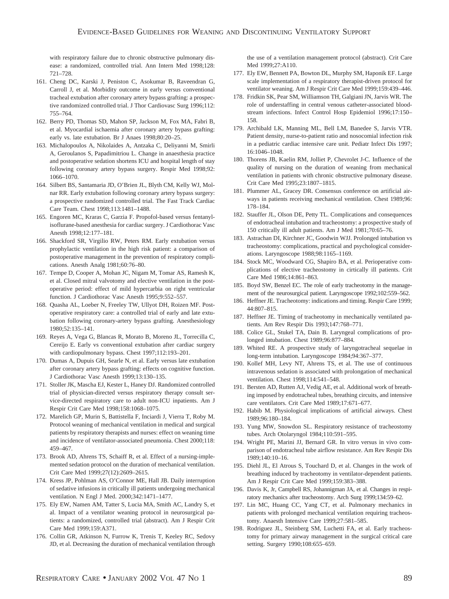with respiratory failure due to chronic obstructive pulmonary disease: a randomized, controlled trial. Ann Intern Med 1998;128: 721–728.

- 161. Cheng DC, Karski J, Peniston C, Asokumar B, Raveendran G, Carroll J, et al. Morbidity outcome in early versus conventional tracheal extubation after coronary artery bypass grafting: a prospective randomized controlled trial. J Thor Cardiovasc Surg 1996;112: 755–764.
- 162. Berry PD, Thomas SD, Mahon SP, Jackson M, Fox MA, Fabri B, et al. Myocardial ischaemia after coronary artery bypass grafting: early vs. late extubation. Br J Anaes 1998;80:20–25.
- 163. Michalopoulos A, Nikolaides A, Antzaka C, Deliyanni M, Smirli A, Geroulanos S, Papadimitriou L. Change in anaesthesia practice and postoperative sedation shortens ICU and hospital length of stay following coronary artery bypass surgery. Respir Med 1998;92: 1066–1070.
- 164. Silbert BS, Santamaria JD, O'Brien JL, Blyth CM, Kelly WJ, Molnar RR. Early extubation following coronary artery bypass surgery: a prospective randomized controlled trial. The Fast Track Cardiac Care Team. Chest 1998;113:1481–1488.
- 165. Engoren MC, Kraras C, Garzia F. Propofol-based versus fentanylisoflurane-based anesthesia for cardiac surgery. J Cardiothorac Vasc Anesth 1998;12:177–181.
- 166. Shackford SR, Virgilio RW, Peters RM. Early extubation versus prophylactic ventilation in the high risk patient: a comparison of postoperative management in the prevention of respiratory complications. Anesth Analg 1981;60:76–80.
- 167. Tempe D, Cooper A, Mohan JC, Nigam M, Tomar AS, Ramesh K, et al. Closed mitral valvotomy and elective ventilation in the postoperative period: effect of mild hypercarbia on right ventricular function. J Cardiothorac Vasc Anesth 1995;9:552–557.
- 168. Quasha AL, Loeber N, Freeley TW, Ullyot DH, Roizen MF. Postoperative respiratory care: a controlled trial of early and late extubation following coronary-artery bypass grafting. Anesthesiology 1980;52:135–141.
- 169. Reyes A, Vega G, Blancas R, Morato B, Moreno JL, Torrecilla C, Cereijo E. Early vs conventional extubation after cardiac surgery with cardiopulmonary bypass. Chest 1997;112:193–201.
- 170. Dumas A, Dupuis GH, Searle N, et al. Early versus late extubation after coronary artery bypass grafting: effects on cognitive function. J Cardiothorac Vasc Anesth 1999;13:130–135.
- 171. Stoller JK, Mascha EJ, Kester L, Haney DJ. Randomized controlled trial of physician-directed versus respiratory therapy consult service-directed respiratory care to adult non-ICU inpatients. Am J Respir Crit Care Med 1998;158:1068–1075.
- 172. Marelich GP, Murin S, Battistella F, Inciardi J, Vierra T, Roby M. Protocol weaning of mechanical ventilation in medical and surgical patients by respiratory therapists and nurses: effect on weaning time and incidence of ventilator-associated pneumonia. Chest 2000;118: 459–467.
- 173. Brook AD, Ahrens TS, Schaiff R, et al. Effect of a nursing-implemented sedation protocol on the duration of mechanical ventilation. Crit Care Med 1999;27(12):2609–2615.
- 174. Kress JP, Pohlman AS, O'Connor ME, Hall JB. Daily interruption of sedative infusions in critically ill patients undergoing mechanical ventilation. N Engl J Med. 2000;342:1471–1477.
- 175. Ely EW, Namen AM, Tatter S, Lucia MA, Smith AC, Landry S, et al. Impact of a ventilator weaning protocol in neurosurgical patients: a randomized, controlled trial (abstract). Am J Respir Crit Care Med 1999;159:A371.
- 176. Collin GR, Atkinson N, Furrow K, Trenis T, Keeley RC, Sedovy JD, et al. Decreasing the duration of mechanical ventilation through

the use of a ventilation management protocol (abstract). Crit Care Med 1999;27:A110.

- 177. Ely EW, Bennett PA, Bowton DL, Murphy SM, Haponik EF. Large scale implementation of a respiratory therapist-driven protocol for ventilator weaning. Am J Respir Crit Care Med 1999;159:439–446.
- 178. Fridkin SK, Pear SM, Williamson TH, Galgiani JN, Jarvis WR. The role of understaffing in central venous catheter-associated bloodstream infections. Infect Control Hosp Epidemiol 1996;17:150– 158.
- 179. Archibald LK, Manning ML, Bell LM, Banedee S, Jarvis VTR. Patient density, nurse-to-patient ratio and nosocomial infection risk in a pediatric cardiac intensive care unit. Pediatr Infect Dis 1997; 16:1046–1048.
- 180. Thorens JB, Kaelin RM, Jolliet P, Chevrolet J-C. Influence of the quality of nursing on the duration of weaning from mechanical ventilation in patients with chronic obstructive pulmonary disease. Crit Care Med 1995;23:1807–1815.
- 181. Plummer AL, Gracey DR. Consensus conference on artificial airways in patients receiving mechanical ventilation. Chest 1989;96: 178–184.
- 182. Stauffer JL, Olson DE, Petty TL. Complications and consequences of endotracheal intubation and tracheostomy: a prospective study of 150 critically ill adult patients. Am J Med 1981;70:65–76.
- 183. Astrachan DI, Kirchner JC, Goodwin WJJ. Prolonged intubation vs tracheostomy: complications, practical and psychological considerations. Laryngoscope 1988;98:1165–1169.
- 184. Stock MC, Woodward CG, Shapiro BA, et al. Perioperative complications of elective tracheostomy in cirtically ill patients. Crit Care Med 1986;14:861–863.
- 185. Boyd SW, Benzel EC. The role of early tracheotomy in the management of the neurosurgical patient. Laryngoscope 1992;102:559–562.
- 186. Heffner JE. Tracheotomy: indications and timing. Respir Care 1999; 44:807–815.
- 187. Heffner JE. Timing of tracheotomy in mechanically ventilated patients. Am Rev Respir Dis 1993;147:768–771.
- 188. Colice GL, Stukel TA, Dain B. Laryngeal complications of prolonged intubation. Chest 1989;96:877–884.
- 189. Whited RE. A prospective study of laryngotracheal sequelae in long-term intubation. Laryngoscope 1984;94:367–377.
- 190. Kollef MH, Levy NT, Ahrens TS, et al. The use of continuous intravenous sedation is associated with prolongation of mechanical ventilation. Chest 1998;114:541–548.
- 191. Bersten AD, Rutten AJ, Vedig AE, et al. Additional work of breathing imposed by endotracheal tubes, breathing circuits, and intensive care ventilators. Crit Care Med 1989;17:671–677.
- 192. Habib M. Physiological implications of artificial airways. Chest 1989;96:180–184.
- 193. Yung MW, Snowdon SL. Respiratory resistance of tracheostomy tubes. Arch Otolaryngol 1984;110:591–595.
- 194. Wright PE, Marini JJ, Bernard GR. In vitro versus in vivo comparison of endotracheal tube airflow resistance. Am Rev Respir Dis 1989;140:10–16.
- 195. Diehl JL, El Atrous S, Touchard D, et al. Changes in the work of breathing induced by tracheotomy in ventilator-dependent patients. Am J Respir Crit Care Med 1999;159:383–388.
- 196. Davis K, Jr, Campbell RS, Johannigman JA, et al. Changes in respiratory mechanics after tracheostomy. Arch Surg 1999;134:59–62.
- 197. Lin MC, Huang CC, Yang CT, et al. Pulmonary mechanics in patients with prolonged mechanical ventilation requiring tracheostomy. Anaesth Intensive Care 1999;27:581–585.
- 198. Rodriguez JL, Steinberg SM, Luchetti FA, et al. Early tracheostomy for primary airway management in the surgical critical care setting. Surgery 1990;108:655–659.